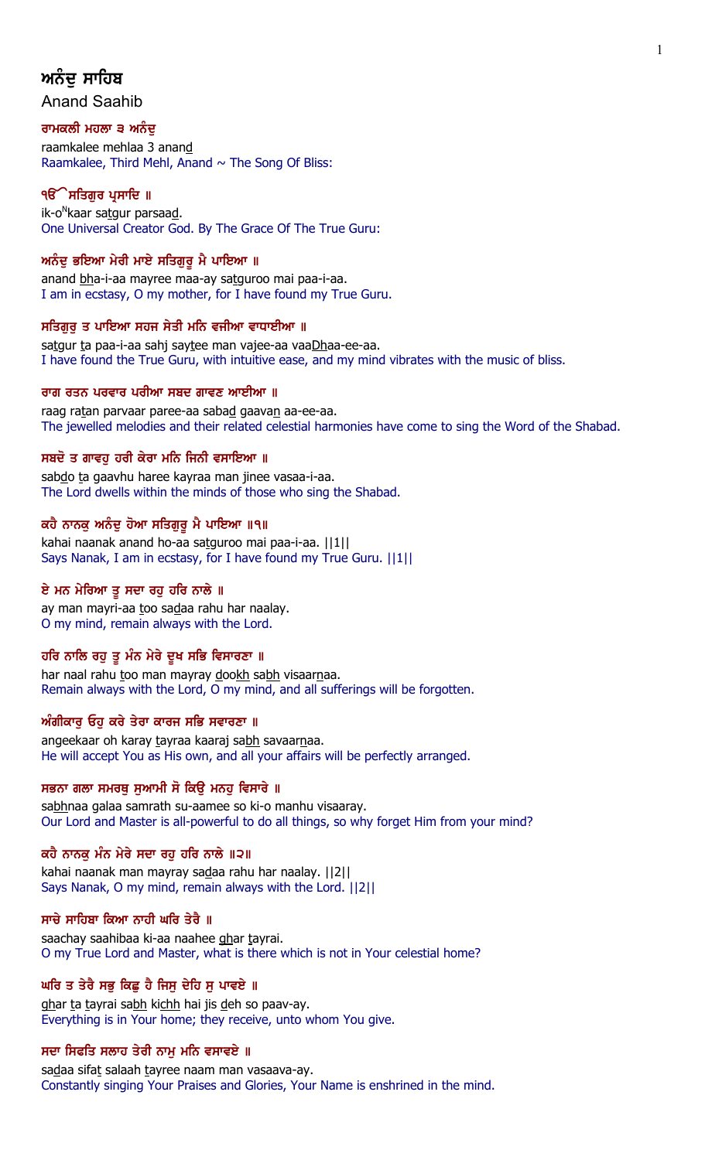# ਅਨੰਦ ਸਾਹਿਬ

Anand Saahib

## ਰਾਮਕਲੀ ਮਹਲਾ ੩ ਅਨੰਦ

raamkalee mehlaa 3 anand Raamkalee, Third Mehl, Anand  $\sim$  The Song Of Bliss:

## ੧**ੳੇਸਤਿਗਰ ਪ੍ਰਸਾਦਿ** ॥

ik-o<sup>n</sup>kaar sa<u>tg</u>ur parsaa<u>d</u>. One Universal Creator God. By The Grace Of The True Guru:

## ਅਨੰਦੁ ਭਇਆ ਮੇਰੀ ਮਾਏ ਸਤਿਗੁਰੂ ਮੈ ਪਾਇਆ ॥

anand bha-i-aa mayree maa-ay satguroo mai paa-i-aa. I am in ecstasy, O my mother, for I have found my True Guru.

## ਸਤਿਗੁਰੁ ਤ ਪਾਇਆ ਸਹਜ ਸੇਤੀ ਮਨਿ ਵਜੀਆ ਵਾਧਾਈਆ ॥

satgur ta paa-i-aa sahj saytee man vajee-aa vaaDhaa-ee-aa. I have found the True Guru, with intuitive ease, and my mind vibrates with the music of bliss.

## ਰਾਗ ਰਤਨ ਪਰਵਾਰ ਪਰੀਆ ਸਬਦ ਗਾਵਣ ਆਈਆ ॥

raag ratan parvaar paree-aa sabad gaavan aa-ee-aa. The jewelled melodies and their related celestial harmonies have come to sing the Word of the Shabad.

## ਸਬਦੋ ਤ ਗਾਵਹੁ ਹਰੀ ਕੇਰਾ ਮਨਿ ਜਿਨੀ ਵਸਾਇਆ ॥

sabdo ta gaavhu haree kayraa man jinee vasaa-i-aa. The Lord dwells within the minds of those who sing the Shabad.

## ਕਹੈ ਨਾਨਕ ਅਨੰਦ ਹੋਆ ਸਤਿਗਰ ਮੈ ਪਾਇਆ ॥੧॥

kahai naanak anand ho-aa satguroo mai paa-i-aa. ||1|| Says Nanak, I am in ecstasy, for I have found my True Guru. ||1||

## ਏ ਮਨ ਮੇਰਿਆ ਤੂ ਸਦਾ ਰਹੁ ਹਰਿ ਨਾਲੇ ॥

ay man mayri-aa too sadaa rahu har naalay. O my mind, remain always with the Lord.

## ਹਰਿ ਨਾਲਿ ਰਹੁ ਤੁ ਮੰਨ ਮੇਰੇ ਦੁਖ ਸਭਿ ਵਿਸਾਰਣਾ ॥

har naal rahu too man mayray dookh sabh visaarnaa. Remain always with the Lord, O my mind, and all sufferings will be forgotten.

## ਅੰਗੀਕਾਰ ਓਹ ਕਰੇ ਤੇਰਾ ਕਾਰਜ ਸਭਿ ਸਵਾਰਣਾ ॥

angeekaar oh karay tayraa kaaraj sabh savaarnaa. He will accept You as His own, and all your affairs will be perfectly arranged.

## ਸਭਨਾ ਗਲਾ ਸਮਰਥੂ ਸੁਆਮੀ ਸੋ ਕਿਉ ਮਨਹੂ ਵਿਸਾਰੇ ॥

sabhnaa galaa samrath su-aamee so ki-o manhu visaaray. Our Lord and Master is all-powerful to do all things, so why forget Him from your mind?

## ਕਹੈ ਨਾਨਕ ਮੰਨ ਮੇਰੇ ਸਦਾ ਰਹ ਹਰਿ ਨਾਲੇ ॥੨॥

kahai naanak man mayray sadaa rahu har naalay. ||2|| Says Nanak, O my mind, remain always with the Lord. ||2||

## ਸਾਚੇ ਸਾਹਿਬਾ ਕਿਆ ਨਾਹੀ ਘਰਿ ਤੇਰੈ ॥

saachay saahibaa ki-aa naahee ghar tayrai. O my True Lord and Master, what is there which is not in Your celestial home?

## ਘਰਿ ਤ ਤੇਰੈ ਸਭੁ ਕਿਛੁ ਹੈ ਜਿਸੁ ਦੇਹਿ ਸੁ ਪਾਵਏ ॥

ghar ta tayrai sabh kichh hai jis deh so paav-ay. Everything is in Your home; they receive, unto whom You give.

## ਸਦਾ ਸਿਫਤਿ ਸਲਾਹ ਤੇਰੀ ਨਾਮ ਮਨਿ ਵਸਾਵਏ ॥

sadaa sifat salaah tayree naam man vasaava-ay. Constantly singing Your Praises and Glories, Your Name is enshrined in the mind.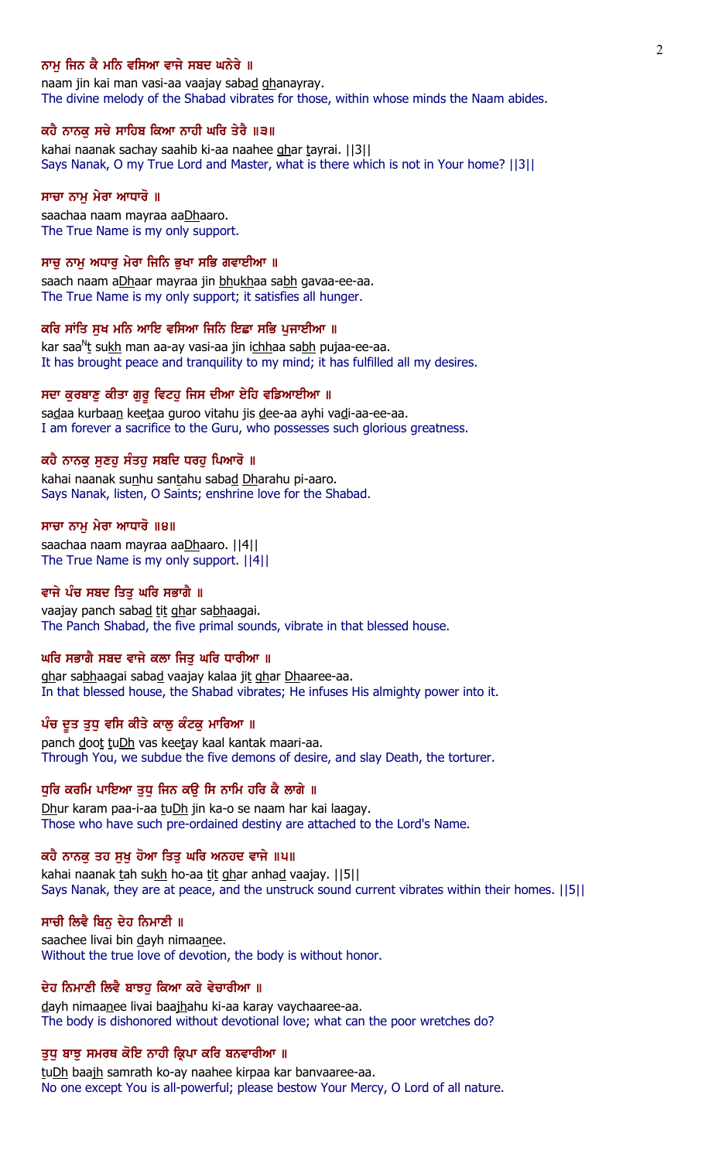### ਨਾਮ ਜਿਨ ਕੈ ਮਨਿ ਵਸਿਆ ਵਾਜੇ ਸਬਦ ਘਨੇਰੇ ॥

naam jin kai man vasi-aa vaajay sabad ghanayray. The divine melody of the Shabad vibrates for those, within whose minds the Naam abides.

#### ਕਹੈ ਨਾਨਕੂ ਸਚੇ ਸਾਹਿਬ ਕਿਆ ਨਾਹੀ ਘਰਿ ਤੇਰੈ ॥੩॥

kahai naanak sachay saahib ki-aa naahee ghar tayrai. ||3|| Says Nanak, O my True Lord and Master, what is there which is not in Your home? ||3||

#### ਸਾਚਾ ਨਾਮੂ ਮੇਰਾ ਆਧਾਰੋ ॥

saachaa naam mayraa aaDhaaro. The True Name is my only support.

#### ਸਾਚੂ ਨਾਮੂ ਅਧਾਰੂ ਮੇਰਾ ਜਿਨਿ ਭੂਖਾ ਸਭਿ ਗਵਾਈਆ ॥

saach naam aDhaar mayraa jin bhukhaa sabh gavaa-ee-aa. The True Name is my only support; it satisfies all hunger.

#### ਕਰਿ ਸਾਂਤਿ ਸਖ ਮਨਿ ਆਇ ਵਸਿਆ ਜਿਨਿ ਇਛਾ ਸਭਿ ਪਜਾਈਆ ॥

kar saa<sup>n</sup>t su<u>kh</u> man aa-ay vasi-aa jin i<u>chh</u>aa sa<u>bh</u> pujaa-ee-aa. It has brought peace and tranquility to my mind; it has fulfilled all my desires.

#### ਸਦਾ ਕੁਰਬਾਣੁ ਕੀਤਾ ਗੁਰੂ ਵਿਟਹੁ ਜਿਸ ਦੀਆ ਏਹਿ ਵਡਿਆਈਆ ॥

sadaa kurbaan keetaa guroo vitahu jis dee-aa ayhi vadi-aa-ee-aa. I am forever a sacrifice to the Guru, who possesses such glorious greatness.

#### ਕਹੈ ਨਾਨਕੁ ਸੁਣਹੁ ਸੰਤਹੁ ਸਬਦਿ ਧਰਹੁ ਪਿਆਰੋ ॥

kahai naanak sunhu santahu sabad Dharahu pi-aaro. Says Nanak, listen, O Saints; enshrine love for the Shabad.

#### ਸਾਚਾ ਨਾਮੂ ਮੇਰਾ ਆਧਾਰੋ ॥੪॥

saachaa naam mayraa aaDhaaro. ||4|| The True Name is my only support. ||4||

### ਵਾਜੇ ਪੰਚ ਸਬਦ ਤਿਤੁ ਘਰਿ ਸਭਾਗੈ ॥

vaajay panch sabad tit ghar sabhaagai. The Panch Shabad, the five primal sounds, vibrate in that blessed house.

### ਘਰਿ ਸਭਾਗੈ ਸਬਦ ਵਾਜੇ ਕਲਾ ਜਿਤੂ ਘਰਿ ਧਾਰੀਆ ॥

ghar sabhaagai sabad vaajay kalaa jit ghar Dhaaree-aa. In that blessed house, the Shabad vibrates; He infuses His almighty power into it.

#### ਪੰਚ ਦੂਤ ਤੁਧੂ ਵਸਿ ਕੀਤੇ ਕਾਲੂ ਕੰਟਕੂ ਮਾਰਿਆ ॥

panch doot tuDh vas keetay kaal kantak maari-aa. Through You, we subdue the five demons of desire, and slay Death, the torturer.

#### ਧੁਰਿ ਕਰਮਿ ਪਾਇਆ ਤੁਧੁ ਜਿਨ ਕਉ ਸਿ ਨਾਮਿ ਹਰਿ ਕੈ ਲਾਗੇ ॥

Dhur karam paa-i-aa tuDh jin ka-o se naam har kai laagay. Those who have such pre-ordained destiny are attached to the Lord's Name.

### ਕਹੈ ਨਾਨਕੂ ਤਹ ਸੁਖੂ ਹੋਆ ਤਿਤੂ ਘਰਿ ਅਨਹਦ ਵਾਜੇ ॥੫॥

kahai naanak tah sukh ho-aa tit ghar anhad vaajay. [[5]] Says Nanak, they are at peace, and the unstruck sound current vibrates within their homes. ||5||

#### ਸਾਚੀ ਲਿਵੈ ਬਿਨੁ ਦੇਹ ਨਿਮਾਣੀ ॥

saachee livai bin dayh nimaanee. Without the true love of devotion, the body is without honor.

#### ਦੇਹ ਨਿਮਾਣੀ ਲਿਵੈ ਬਾਝਹੂ ਕਿਆ ਕਰੇ ਵੇਚਾਰੀਆ ॥

dayh nimaanee livai baajhahu ki-aa karay vaychaaree-aa. The body is dishonored without devotional love; what can the poor wretches do?

#### ਤੁਧੂ ਬਾਝੂ ਸਮਰਥ ਕੋਇ ਨਾਹੀ ਕ੍ਰਿਪਾ ਕਰਿ ਬਨਵਾਰੀਆ ॥

tuDh baajh samrath ko-ay naahee kirpaa kar banvaaree-aa. No one except You is all-powerful; please bestow Your Mercy, O Lord of all nature.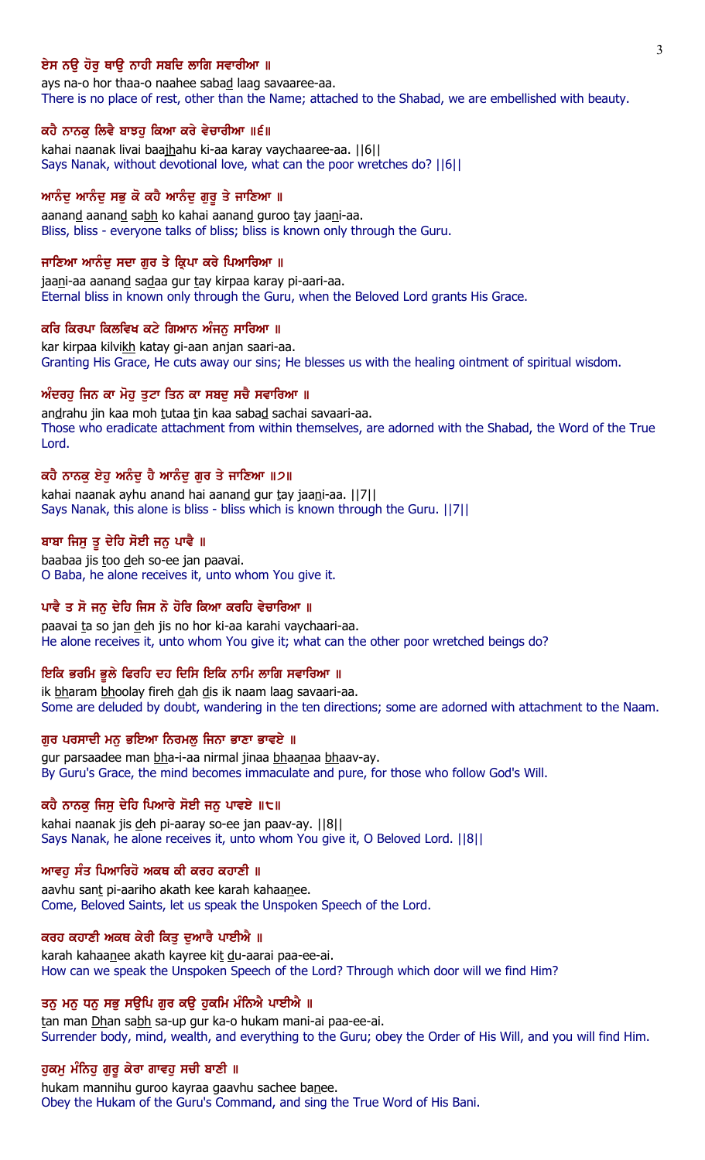## ਏਸ ਨੳ ਹੋਰ ਥਾੳ ਨਾਹੀ ਸਬਦਿ ਲਾਗਿ ਸਵਾਰੀਆ ॥

ays na-o hor thaa-o naahee sabad laag savaaree-aa. There is no place of rest, other than the Name; attached to the Shabad, we are embellished with beauty.

### ਕਹੈ ਨਾਨਕੂ ਲਿਵੈ ਬਾਝਹੂ ਕਿਆ ਕਰੇ ਵੇਚਾਰੀਆ ॥੬॥

kahai naanak livai baajhahu ki-aa karay vaychaaree-aa. ||6|| Says Nanak, without devotional love, what can the poor wretches do? ||6||

## ਆਨੰਦੂ ਆਨੰਦੂ ਸਭੂ ਕੋ ਕਹੈ ਆਨੰਦੂ ਗੁਰੂ ਤੇ ਜਾਣਿਆ ॥

aanand aanand sabh ko kahai aanand guroo tay jaani-aa. Bliss, bliss - everyone talks of bliss; bliss is known only through the Guru.

## ਜਾਣਿਆ ਆਨੰਦ ਸਦਾ ਗਰ ਤੇ ਕ੍ਰਿਪਾ ਕਰੇ ਪਿਆਰਿਆ ॥

jaani-aa aanand sadaa gur tay kirpaa karay pi-aari-aa. Eternal bliss in known only through the Guru, when the Beloved Lord grants His Grace.

#### ਕਰਿ ਕਿਰਪਾ ਕਿਲਵਿਖ ਕਟੇ ਗਿਆਨ ਅੰਜਨ ਸਾਰਿਆ ॥

kar kirpaa kilvikh katay gi-aan anjan saari-aa. Granting His Grace, He cuts away our sins; He blesses us with the healing ointment of spiritual wisdom.

## ਅੰਦਰਹੂ ਜਿਨ ਕਾ ਮੋਹੂ ਤੁਟਾ ਤਿਨ ਕਾ ਸਬਦੂ ਸਚੈ ਸਵਾਰਿਆ ॥

andrahu jin kaa moh tutaa tin kaa sabad sachai savaari-aa. Those who eradicate attachment from within themselves, are adorned with the Shabad, the Word of the True Lord.

#### ਕਹੈ ਨਾਨਕ ਏਹ ਅਨੰਦ ਹੈ ਆਨੰਦ ਗਰ ਤੇ ਜਾਣਿਆ ॥੭॥

kahai naanak ayhu anand hai aanand gur tay jaani-aa. ||7|| Says Nanak, this alone is bliss - bliss which is known through the Guru. ||7||

## ਬਾਬਾ ਜਿਸੁ ਤੁ ਦੇਹਿ ਸੋਈ ਜਨੁ ਪਾਵੈ ॥

baabaa jis too deh so-ee jan paavai. O Baba, he alone receives it, unto whom You give it.

#### ਪਾਵੈ ਤ ਸੋ ਜਨੁ ਦੇਹਿ ਜਿਸ ਨੋ ਹੋਰਿ ਕਿਆ ਕਰਹਿ ਵੇਚਾਰਿਆ ॥

paavai ta so jan deh jis no hor ki-aa karahi vaychaari-aa. He alone receives it, unto whom You give it; what can the other poor wretched beings do?

#### ਇਕਿ ਭਰਮਿ ਭੁਲੇ ਫਿਰਹਿ ਦਹ ਦਿਸਿ ਇਕਿ ਨਾਮਿ ਲਾਗਿ ਸਵਾਰਿਆ ॥

ik bharam bhoolay fireh dah dis ik naam laag savaari-aa. Some are deluded by doubt, wandering in the ten directions; some are adorned with attachment to the Naam.

### ਗੁਰ ਪਰਸਾਦੀ ਮਨੁ ਭਇਆ ਨਿਰਮਲੁ ਜਿਨਾ ਭਾਣਾ ਭਾਵਏ ॥

gur parsaadee man bha-i-aa nirmal jinaa bhaanaa bhaav-ay. By Guru's Grace, the mind becomes immaculate and pure, for those who follow God's Will.

#### ਕਹੈ ਨਾਨਕੂ ਜਿਸੂ ਦੇਹਿ ਪਿਆਰੇ ਸੋਈ ਜਨੂ ਪਾਵਏ ॥੮॥

kahai naanak jis deh pi-aaray so-ee jan paav-ay. ||8|| Says Nanak, he alone receives it, unto whom You give it, O Beloved Lord. ||8||

### ਆਵਹ ਸੰਤ ਪਿਆਰਿਹੋ ਅਕਥ ਕੀ ਕਰਹ ਕਹਾਣੀ ॥

aavhu sant pi-aariho akath kee karah kahaanee. Come, Beloved Saints, let us speak the Unspoken Speech of the Lord.

## ਕਰਹ ਕਹਾਣੀ ਅਕਥ ਕੇਰੀ ਕਿਤੂ ਦੁਆਰੈ ਪਾਈਐ ॥

karah kahaanee akath kayree kit du-aarai paa-ee-ai. How can we speak the Unspoken Speech of the Lord? Through which door will we find Him?

### ਤਨੂ ਮਨੂ ਧਨੂ ਸਭੂ ਸਉਪਿ ਗੁਰ ਕਉ ਹੁਕਮਿ ਮੰਨਿਐ ਪਾਈਐ ॥

tan man Dhan sabh sa-up gur ka-o hukam mani-ai paa-ee-ai. Surrender body, mind, wealth, and everything to the Guru; obey the Order of His Will, and you will find Him.

#### ਹੁਕਮੁ ਮੰਨਿਹੁ ਗੁਰੁ ਕੇਰਾ ਗਾਵਹੁ ਸਚੀ ਬਾਣੀ ॥

hukam mannihu guroo kayraa gaavhu sachee banee. Obey the Hukam of the Guru's Command, and sing the True Word of His Bani.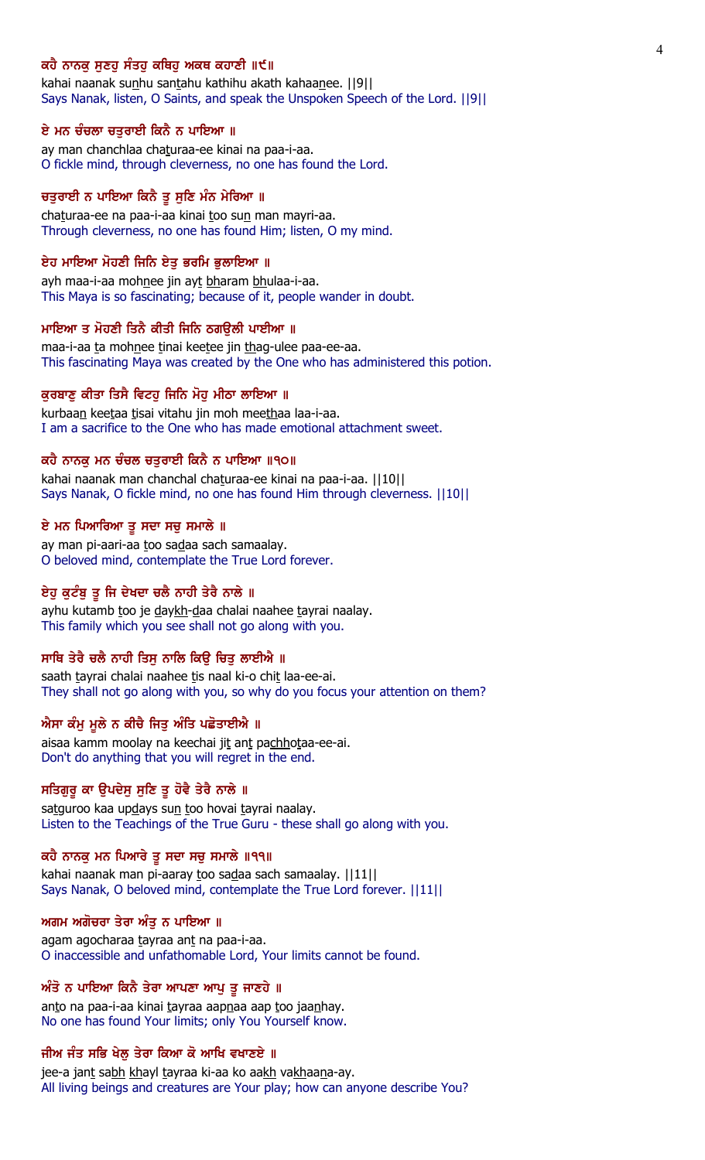### ਕਹੈ ਨਾਨਕ ਸਣਹ ਸੰਤਹ ਕਥਿਹ ਅਕਥ ਕਹਾਣੀ ॥੯॥

kahai naanak sunhu santahu kathihu akath kahaanee. [[9]] Says Nanak, listen, O Saints, and speak the Unspoken Speech of the Lord. ||9||

#### ਏ ਮਨ ਚੰਚਲਾ ਚਤੁਰਾਈ ਕਿਨੈ ਨ ਪਾਇਆ ॥

ay man chanchlaa chaturaa-ee kinai na paa-i-aa. O fickle mind, through cleverness, no one has found the Lord.

### ਚਤੁਰਾਈ ਨ ਪਾਇਆ ਕਿਨੈ ਤੂ ਸੁਣਿ ਮੰਨ ਮੇਰਿਆ ॥

chaturaa-ee na paa-i-aa kinai too sun man mayri-aa. Through cleverness, no one has found Him; listen, O my mind.

#### ਏਹ ਮਾਇਆ ਮੋਹਣੀ ਜਿਨਿ ਏਤੁ ਭਰਮਿ ਭੁਲਾਇਆ ॥

ayh maa-i-aa mohnee jin ayt bharam bhulaa-i-aa. This Maya is so fascinating; because of it, people wander in doubt.

#### ਮਾਇਆ ਤ ਮੋਹਣੀ ਤਿਨੈ ਕੀਤੀ ਜਿਨਿ ਠਗੳਲੀ ਪਾਈਆ ॥

maa-i-aa ta mohnee tinai keetee jin thag-ulee paa-ee-aa. This fascinating Maya was created by the One who has administered this potion.

#### ਕੁਰਬਾਣੂ ਕੀਤਾ ਤਿਸੈ ਵਿਟਹੂ ਜਿਨਿ ਮੋਹੂ ਮੀਠਾ ਲਾਇਆ ॥

kurbaan keetaa tisai vitahu jin moh meethaa laa-i-aa. I am a sacrifice to the One who has made emotional attachment sweet.

## ਕਹੈ ਨਾਨਕ ਮਨ ਚੰਚਲ ਚਤਰਾਈ ਕਿਨੈ ਨ ਪਾਇਆ ॥੧੦॥

kahai naanak man chanchal chaturaa-ee kinai na paa-i-aa. ||10|| Says Nanak, O fickle mind, no one has found Him through cleverness. ||10||

### ਏ ਮਨ ਪਿਆਰਿਆ ਤੁ ਸਦਾ ਸਚੁ ਸਮਾਲੇ ॥

ay man pi-aari-aa too sadaa sach samaalay. O beloved mind, contemplate the True Lord forever.

#### ਏਹੂ ਕੁਟੰਬੂ ਤੂ ਜਿ ਦੇਖਦਾ ਚਲੈ ਨਾਹੀ ਤੇਰੈ ਨਾਲੇ ॥

ayhu kutamb too je daykh-daa chalai naahee tayrai naalay. This family which you see shall not go along with you.

## ਸਾਥਿ ਤੇਰੈ ਚਲੈ ਨਾਹੀ ਤਿਸੁ ਨਾਲਿ ਕਿਉ ਚਿਤੁ ਲਾਈਐ ॥

saath tayrai chalai naahee tis naal ki-o chit laa-ee-ai. They shall not go along with you, so why do you focus your attention on them?

### ਐਸਾ ਕੰਮੂ ਮੂਲੇ ਨ ਕੀਚੈ ਜਿਤੂ ਅੰਤਿ ਪਛੋਤਾਈਐ ॥

aisaa kamm moolay na keechai jit ant pachhotaa-ee-ai. Don't do anything that you will regret in the end.

### ਸਤਿਗੁਰੁ ਕਾ ਉਪਦੇਸੁ ਸੁਣਿ ਤੁ ਹੋਵੈ ਤੇਰੈ ਨਾਲੇ ॥

satguroo kaa updays sun too hovai tayrai naalay. Listen to the Teachings of the True Guru - these shall go along with you.

#### ਕਹੈ ਨਾਨਕੁ ਮਨ ਪਿਆਰੇ ਤੁ ਸਦਾ ਸਚੁ ਸਮਾਲੇ ॥੧੧॥

kahai naanak man pi-aaray too sadaa sach samaalay. ||11|| Says Nanak, O beloved mind, contemplate the True Lord forever. ||11||

### ਅਗਮ ਅਗੋਚਰਾ ਤੇਰਾ ਅੰਤੁ ਨ ਪਾਇਆ ॥

agam agocharaa tayraa ant na paa-i-aa. O inaccessible and unfathomable Lord, Your limits cannot be found.

### ਅੰਤੋ ਨ ਪਾਇਆ ਕਿਨੈ ਤੇਰਾ ਆਪਣਾ ਆਪੂ ਤੂ ਜਾਣਹੇ ॥

anto na paa-i-aa kinai tayraa aapnaa aap too jaanhay. No one has found Your limits; only You Yourself know.

## ਜੀਅ ਜੰਤ ਸਭਿ ਖੇਲੂ ਤੇਰਾ ਕਿਆ ਕੋ ਆਖਿ ਵਖਾਣਏ ॥

jee-a jant sabh khayl tayraa ki-aa ko aakh vakhaana-ay. All living beings and creatures are Your play; how can anyone describe You?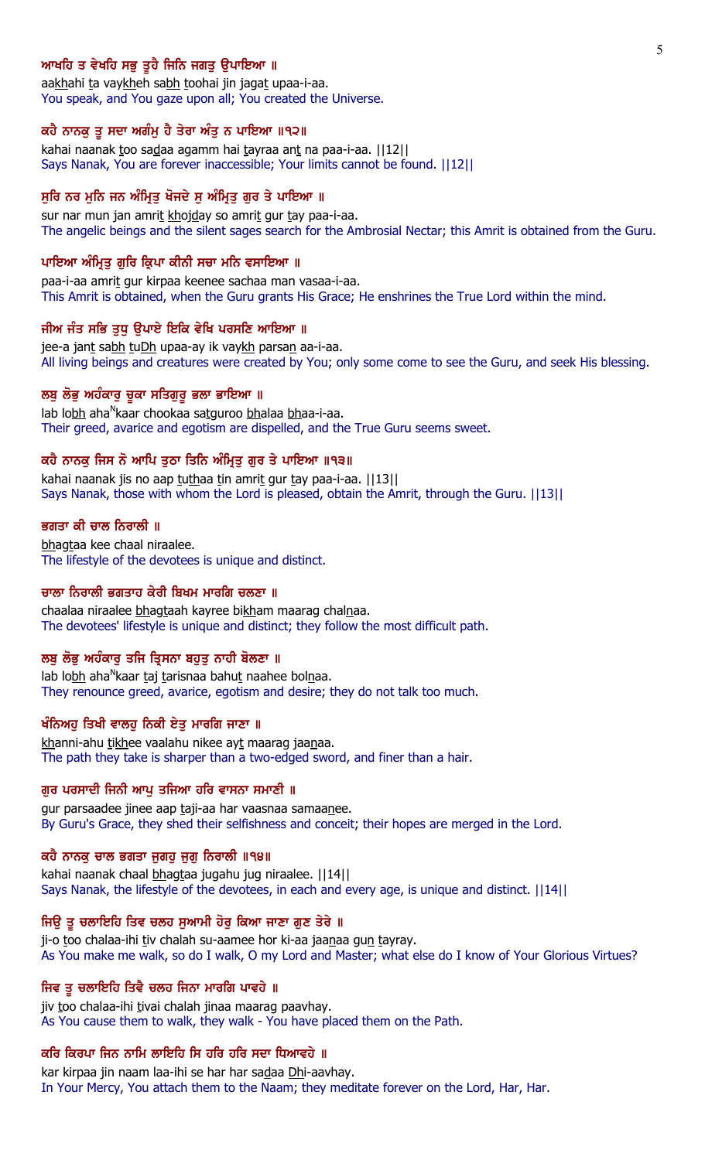## ਆਖਹਿ ਤ ਵੇਖਹਿ ਸਭੁ ਤੁਹੈ ਜਿਨਿ ਜਗਤੁ ਉਪਾਇਆ ॥

aakhahi ta vaykheh sabh toohai jin jagat upaa-i-aa. You speak, and You gaze upon all; You created the Universe.

#### ਕਹੈ ਨਾਨਕੂ ਤੂ ਸਦਾ ਅਗੰਮੂ ਹੈ ਤੇਰਾ ਅੰਤੂ ਨ ਪਾਇਆ ॥੧੨॥

kahai naanak too sadaa agamm hai tayraa ant na paa-i-aa. [[12]] Says Nanak, You are forever inaccessible; Your limits cannot be found. ||12||

## ਸੁਰਿ ਨਰ ਮੁਨਿ ਜਨ ਅੰਮ੍ਰਿਤੂ ਖੋਜਦੇ ਸੁ ਅੰਮ੍ਰਿਤੂ ਗੁਰ ਤੇ ਪਾਇਆ ॥

sur nar mun jan amrit khojday so amrit gur tay paa-i-aa. The angelic beings and the silent sages search for the Ambrosial Nectar; this Amrit is obtained from the Guru.

#### ਪਾਇਆ ਅੰਮ੍ਰਿਤੁ ਗੁਰਿ ਕ੍ਰਿਪਾ ਕੀਨੀ ਸਚਾ ਮਨਿ ਵਸਾਇਆ ॥

paa-i-aa amrit gur kirpaa keenee sachaa man vasaa-i-aa. This Amrit is obtained, when the Guru grants His Grace; He enshrines the True Lord within the mind.

#### ਜੀਅ ਜੰਤ ਸਭਿ ਤਧ ੳਪਾਏ ਇਕਿ ਵੇਖਿ ਪਰਸਣਿ ਆਇਆ ॥

jee-a jant sabh tuDh upaa-ay ik vaykh parsan aa-i-aa. All living beings and creatures were created by You; only some come to see the Guru, and seek His blessing.

#### ਲਬੂ ਲੋਭੂ ਅਹੰਕਾਰੂ ਚੁਕਾ ਸਤਿਗੁਰੂ ਭਲਾ ਭਾਇਆ ॥

lab lo<u>bh</u> aha<sup>n</sup>kaar chookaa sa<u>tg</u>uroo <u>bh</u>alaa <u>bh</u>aa-i-aa. Their greed, avarice and egotism are dispelled, and the True Guru seems sweet.

## ਕਹੈ ਨਾਨਕ ਜਿਸ ਨੋ ਆਪਿ ਤਠਾ ਤਿਨਿ ਅੰਮ੍ਰਿਤ ਗਰ ਤੇ ਪਾਇਆ ॥੧੩॥

kahai naanak jis no aap tuthaa tin amrit gur tay paa-i-aa. [13] Says Nanak, those with whom the Lord is pleased, obtain the Amrit, through the Guru. ||13||

#### ਭਗਤਾ ਕੀ ਚਾਲ ਨਿਰਾਲੀ ॥

bhagtaa kee chaal niraalee. The lifestyle of the devotees is unique and distinct.

#### ਚਾਲਾ ਨਿਰਾਲੀ ਭਗਤਾਹ ਕੇਰੀ ਬਿਖਮ ਮਾਰਗਿ ਚਲਣਾ ॥

chaalaa niraalee bhagtaah kayree bikham maarag chalnaa. The devotees' lifestyle is unique and distinct; they follow the most difficult path.

## ਲਬੂ ਲੋਭੂ ਅਹੰਕਾਰੂ ਤਜਿ ਤ੍ਰਿਸਨਾ ਬਹੁਤੂ ਨਾਹੀ ਬੋਲਣਾ ॥

lab lo<u>bh</u> aha<sup>n</sup>kaar <u>t</u>aj <u>t</u>arisnaa bahu<u>t</u> naahee bol<u>n</u>aa. They renounce greed, avarice, egotism and desire; they do not talk too much.

### ਖੰਨਿਅਹੂ ਤਿਖੀ ਵਾਲਹੂ ਨਿਕੀ ਏਤੂ ਮਾਰਗਿ ਜਾਣਾ ॥

khanni-ahu tikhee vaalahu nikee ayt maarag jaanaa. The path they take is sharper than a two-edged sword, and finer than a hair.

#### ਗੁਰ ਪਰਸਾਦੀ ਜਿਨੀ ਆਪੁ ਤਜਿਆ ਹਰਿ ਵਾਸਨਾ ਸਮਾਣੀ ॥

gur parsaadee jinee aap taji-aa har vaasnaa samaanee. By Guru's Grace, they shed their selfishness and conceit; their hopes are merged in the Lord.

#### ਕਹੈ ਨਾਨਕੁ ਚਾਲ ਭਗਤਾ ਜੁਗਹੁ ਜੁਗੁ ਨਿਰਾਲੀ ॥੧੪॥

kahai naanak chaal bhagtaa jugahu jug niraalee. ||14|| Says Nanak, the lifestyle of the devotees, in each and every age, is unique and distinct. ||14||

### ਜਿਉ ਤੂ ਚਲਾਇਹਿ ਤਿਵ ਚਲਹ ਸੁਆਮੀ ਹੋਰੂ ਕਿਆ ਜਾਣਾ ਗੁਣ ਤੇਰੇ ॥

ji-o too chalaa-ihi tiv chalah su-aamee hor ki-aa jaanaa gun tayray. As You make me walk, so do I walk, O my Lord and Master; what else do I know of Your Glorious Virtues?

#### ਜਿਵ ਤੂ ਚਲਾਇਹਿ ਤਿਵੈ ਚਲਹ ਜਿਨਾ ਮਾਰਗਿ ਪਾਵਹੇ ॥

jiv too chalaa-ihi tivai chalah jinaa maarag paavhay. As You cause them to walk, they walk - You have placed them on the Path.

## ਕਰਿ ਕਿਰਪਾ ਜਿਨ ਨਾਮਿ ਲਾਇਹਿ ਸਿ ਹਰਿ ਹਰਿ ਸਦਾ ਧਿਆਵਹੇ ॥

kar kirpaa jin naam laa-ihi se har har sadaa Dhi-aavhay. In Your Mercy, You attach them to the Naam; they meditate forever on the Lord, Har, Har.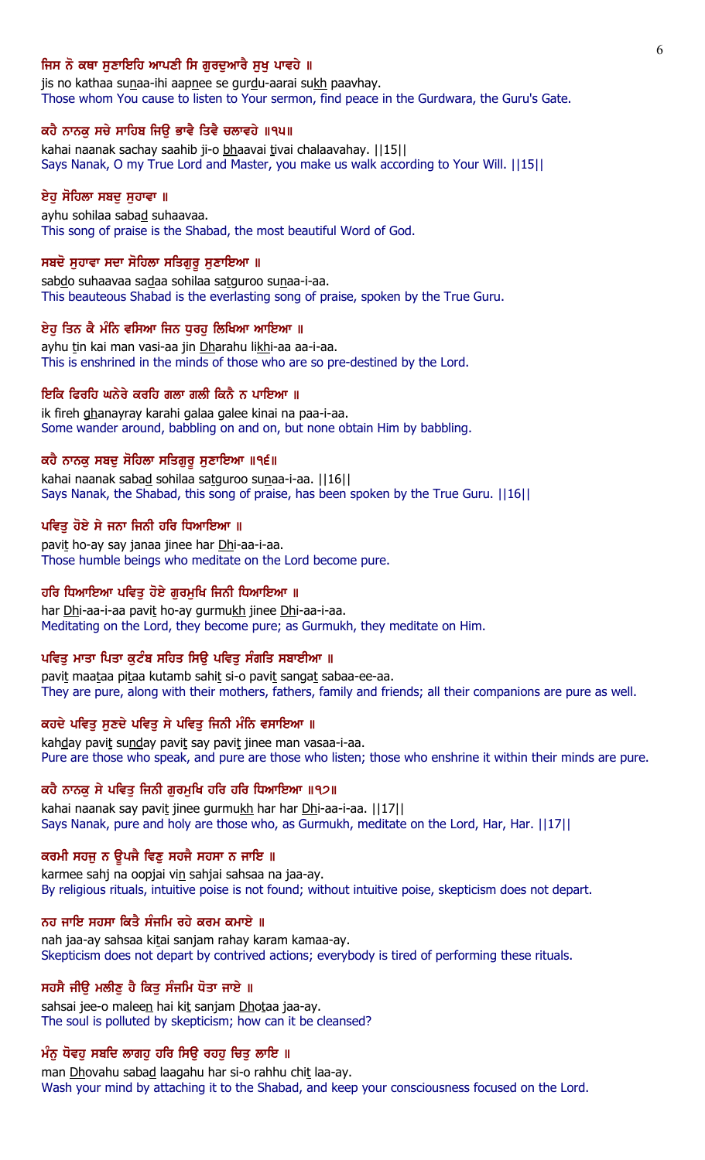## ਜਿਸ ਨੋ ਕਥਾ ਸਣਾਇਹਿ ਆਪਣੀ ਸਿ ਗਰਦਆਰੈ ਸਖ ਪਾਵਹੇ ॥

jis no kathaa sunaa-ihi aapnee se gurdu-aarai sukh paavhay. Those whom You cause to listen to Your sermon, find peace in the Gurdwara, the Guru's Gate.

## ਕਹੈ ਨਾਨਕੂ ਸਚੇ ਸਾਹਿਬ ਜਿਉ ਭਾਵੈ ਤਿਵੈ ਚਲਾਵਹੇ ॥੧੫॥

kahai naanak sachay saahib ji-o bhaavai tivai chalaavahay. [[15]] Says Nanak, O my True Lord and Master, you make us walk according to Your Will. ||15||

## ਏਹੁ ਸੋਹਿਲਾ ਸਬਦੁ ਸੁਹਾਵਾ ॥

ayhu sohilaa sabad suhaavaa. This song of praise is the Shabad, the most beautiful Word of God.

#### ਸਬਦੋ ਸੁਹਾਵਾ ਸਦਾ ਸੋਹਿਲਾ ਸਤਿਗੁਰੂ ਸੁਣਾਇਆ ॥

sabdo suhaavaa sadaa sohilaa satguroo sunaa-i-aa. This beauteous Shabad is the everlasting song of praise, spoken by the True Guru.

#### ਏਹ ਤਿਨ ਕੈ ਮੰਨਿ ਵਸਿਆ ਜਿਨ ਧਰਹ ਲਿਖਿਆ ਆਇਆ ॥

ayhu tin kai man vasi-aa jin Dharahu likhi-aa aa-i-aa. This is enshrined in the minds of those who are so pre-destined by the Lord.

#### ਇਕਿ ਫਿਰਹਿ ਘਨੇਰੇ ਕਰਹਿ ਗਲਾ ਗਲੀ ਕਿਨੈ ਨ ਪਾਇਆ ॥

ik fireh ghanayray karahi galaa galee kinai na paa-i-aa. Some wander around, babbling on and on, but none obtain Him by babbling.

### ਕਹੈ ਨਾਨਕ ਸਬਦ ਸੋਹਿਲਾ ਸਤਿਗਰ ਸਣਾਇਆ ॥੧੬॥

kahai naanak sabad sohilaa satguroo sunaa-i-aa. ||16|| Says Nanak, the Shabad, this song of praise, has been spoken by the True Guru. ||16||

#### ਪਵਿਤ ਹੋਏ ਸੇ ਜਨਾ ਜਿਨੀ ਹਰਿ ਧਿਆਇਆ ॥

pavit ho-ay say janaa jinee har Dhi-aa-i-aa. Those humble beings who meditate on the Lord become pure.

## ਹਰਿ ਧਿਆਇਆ ਪਵਿਤੁ ਹੋਏ ਗੁਰਮੁਖਿ ਜਿਨੀ ਧਿਆਇਆ ॥

har Dhi-aa-i-aa pavit ho-ay gurmukh jinee Dhi-aa-i-aa. Meditating on the Lord, they become pure; as Gurmukh, they meditate on Him.

## ਪਵਿਤੂ ਮਾਤਾ ਪਿਤਾ ਕੁਟੰਬ ਸਹਿਤ ਸਿਉ ਪਵਿਤੂ ਸੰਗਤਿ ਸਬਾਈਆ ॥

pavit maataa pitaa kutamb sahit si-o pavit sangat sabaa-ee-aa. They are pure, along with their mothers, fathers, family and friends; all their companions are pure as well.

### ਕਹਦੇ ਪਵਿਤੂ ਸੁਣਦੇ ਪਵਿਤੂ ਸੇ ਪਵਿਤੂ ਜਿਨੀ ਮੰਨਿ ਵਸਾਇਆ ॥

kahday pavit sunday pavit say pavit jinee man vasaa-i-aa. Pure are those who speak, and pure are those who listen; those who enshrine it within their minds are pure.

#### ਕਹੈ ਨਾਨਕੁ ਸੇ ਪਵਿਤੁ ਜਿਨੀ ਗੁਰਮੁਖਿ ਹਰਿ ਹਰਿ ਧਿਆਇਆ ॥੧੭॥

kahai naanak say pavit jinee gurmukh har har Dhi-aa-i-aa. [17] Says Nanak, pure and holy are those who, as Gurmukh, meditate on the Lord, Har, Har. ||17||

## ਕਰਮੀ ਸਹਜੂ ਨ ਉਪਜੈ ਵਿਣੂ ਸਹਜੈ ਸਹਸਾ ਨ ਜਾਇ ॥

karmee sahj na oopjai vin sahjai sahsaa na jaa-ay. By religious rituals, intuitive poise is not found; without intuitive poise, skepticism does not depart.

#### ਨਹ ਜਾਇ ਸਹਸਾ ਕਿਤੈ ਸੰਜਮਿ ਰਹੇ ਕਰਮ ਕਮਾਏ ॥

nah jaa-ay sahsaa kitai sanjam rahay karam kamaa-ay. Skepticism does not depart by contrived actions; everybody is tired of performing these rituals.

### ਸਹਸੈ ਜੀਉ ਮਲੀਣੂ ਹੈ ਕਿਤੂ ਸੰਜਮਿ ਧੋਤਾ ਜਾਏ ॥

sahsai jee-o maleen hai kit sanjam Dhotaa jaa-ay. The soul is polluted by skepticism; how can it be cleansed?

## ਮੰਨੂ ਧੋਵਹੂ ਸਬਦਿ ਲਾਗਹੂ ਹਰਿ ਸਿਊ ਰਹਹੂ ਚਿਤੂ ਲਾਇ ॥

man Dhovahu sabad laagahu har si-o rahhu chit laa-ay. Wash your mind by attaching it to the Shabad, and keep your consciousness focused on the Lord.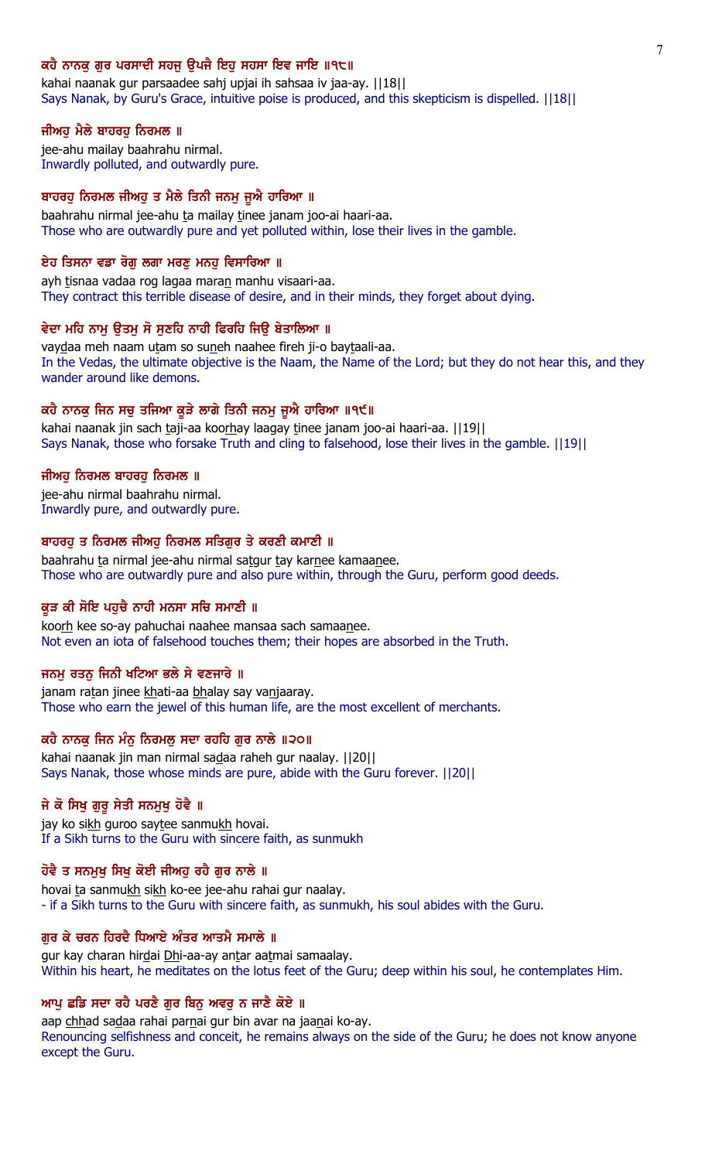## ਕਹੈ ਨਾਨਕ ਗਰ ਪਰਸਾਦੀ ਸਹਜ ੳਪਜੈ ਇਹ ਸਹਸਾ ਇਵ ਜਾਇ ॥੧੮॥

kahai naanak gur parsaadee sahj upjai ih sahsaa iv jaa-ay. ||18|| Says Nanak, by Guru's Grace, intuitive poise is produced, and this skepticism is dispelled. ||18||

### ਜੀਅਹੁ ਮੈਲੇ ਬਾਹਰਹੁ ਨਿਰਮਲ ॥

jee-ahu mailay baahrahu nirmal. Inwardly polluted, and outwardly pure.

## ਬਾਹਰਹੂ ਨਿਰਮਲ ਜੀਅਹੂ ਤ ਮੈਲੇ ਤਿਨੀ ਜਨਮੂ ਜੂਐ ਹਾਰਿਆ ॥

baahrahu nirmal jee-ahu ta mailay tinee janam joo-ai haari-aa. Those who are outwardly pure and yet polluted within, lose their lives in the gamble.

## ਏਹ ਤਿਸਨਾ ਵਡਾ ਰੋਗ ਲਗਾ ਮਰਣ ਮਨਹ ਵਿਸਾਰਿਆ ॥

ayh tisnaa vadaa rog lagaa maran manhu visaari-aa. They contract this terrible disease of desire, and in their minds, they forget about dying.

## ਵੇਦਾ ਮਹਿ ਨਾਮ ੳਤਮ ਸੋ ਸਣਹਿ ਨਾਹੀ ਫਿਰਹਿ ਜਿੳ ਬੇਤਾਲਿਆ ॥

vaydaa meh naam utam so suneh naahee fireh ji-o baytaali-aa. In the Vedas, the ultimate objective is the Naam, the Name of the Lord; but they do not hear this, and they wander around like demons.

## ਕਹੈ ਨਾਨਕੂ ਜਿਨ ਸਚੂ ਤਜਿਆ ਕੂੜੇ ਲਾਗੇ ਤਿਨੀ ਜਨਮੂ ਜੂਐ ਹਾਰਿਆ ॥੧੯॥

kahai naanak jin sach taji-aa koorhay laagay tinee janam joo-ai haari-aa. [19] Says Nanak, those who forsake Truth and cling to falsehood, lose their lives in the gamble. ||19||

### ਜੀਅਹ ਨਿਰਮਲ ਬਾਹਰਹ ਨਿਰਮਲ ॥

jee-ahu nirmal baahrahu nirmal. Inwardly pure, and outwardly pure.

### ਬਾਹਰਹੁ ਤ ਨਿਰਮਲ ਜੀਅਹੁ ਨਿਰਮਲ ਸਤਿਗੁਰ ਤੇ ਕਰਣੀ ਕਮਾਣੀ ॥

baahrahu ta nirmal jee-ahu nirmal satgur tay karnee kamaanee. Those who are outwardly pure and also pure within, through the Guru, perform good deeds.

## ਕੁੜ ਕੀ ਸੋਇ ਪਹੁਚੈ ਨਾਹੀ ਮਨਸਾ ਸਚਿ ਸਮਾਣੀ ॥

koorh kee so-ay pahuchai naahee mansaa sach samaanee. Not even an iota of falsehood touches them; their hopes are absorbed in the Truth.

#### ਜਨਮੂ ਰਤਨੂ ਜਿਨੀ ਖਟਿਆ ਭਲੇ ਸੇ ਵਣਜਾਰੇ ॥

janam ratan jinee khati-aa bhalay say vanjaaray. Those who earn the jewel of this human life, are the most excellent of merchants.

## ਕਹੈ ਨਾਨਕੂ ਜਿਨ ਮੰਨੂ ਨਿਰਮਲੂ ਸਦਾ ਰਹਹਿ ਗੁਰ ਨਾਲੇ ॥੨੦॥

kahai naanak jin man nirmal sadaa raheh gur naalay. ||20|| Says Nanak, those whose minds are pure, abide with the Guru forever. ||20||

## ਜੇ ਕੋ ਸਿਖੁ ਗੁਰੁ ਸੇਤੀ ਸਨਮੁਖੁ ਹੋਵੈ ॥

jay ko sikh guroo saytee sanmukh hovai. If a Sikh turns to the Guru with sincere faith, as sunmukh

## ਹੋਵੈ ਤ ਸਨਮੁਖੁ ਸਿਖੁ ਕੋਈ ਜੀਅਹੁ ਰਹੈ ਗੁਰ ਨਾਲੇ ॥

hovai ta sanmukh sikh ko-ee jee-ahu rahai gur naalay. - if a Sikh turns to the Guru with sincere faith, as sunmukh, his soul abides with the Guru.

## ਗਰ ਕੇ ਚਰਨ ਹਿਰਦੈ ਧਿਆਏ ਅੰਤਰ ਆਤਮੈ ਸਮਾਲੇ ॥

gur kay charan hirdai Dhi-aa-ay antar aatmai samaalay. Within his heart, he meditates on the lotus feet of the Guru; deep within his soul, he contemplates Him.

## ਆਪੂ ਛਡਿ ਸਦਾ ਰਹੈ ਪਰਣੈ ਗੁਰ ਬਿਨੂ ਅਵਰੂ ਨ ਜਾਣੈ ਕੋਏ ॥

aap chhad sadaa rahai parnai gur bin avar na jaanai ko-ay. Renouncing selfishness and conceit, he remains always on the side of the Guru; he does not know anyone except the Guru.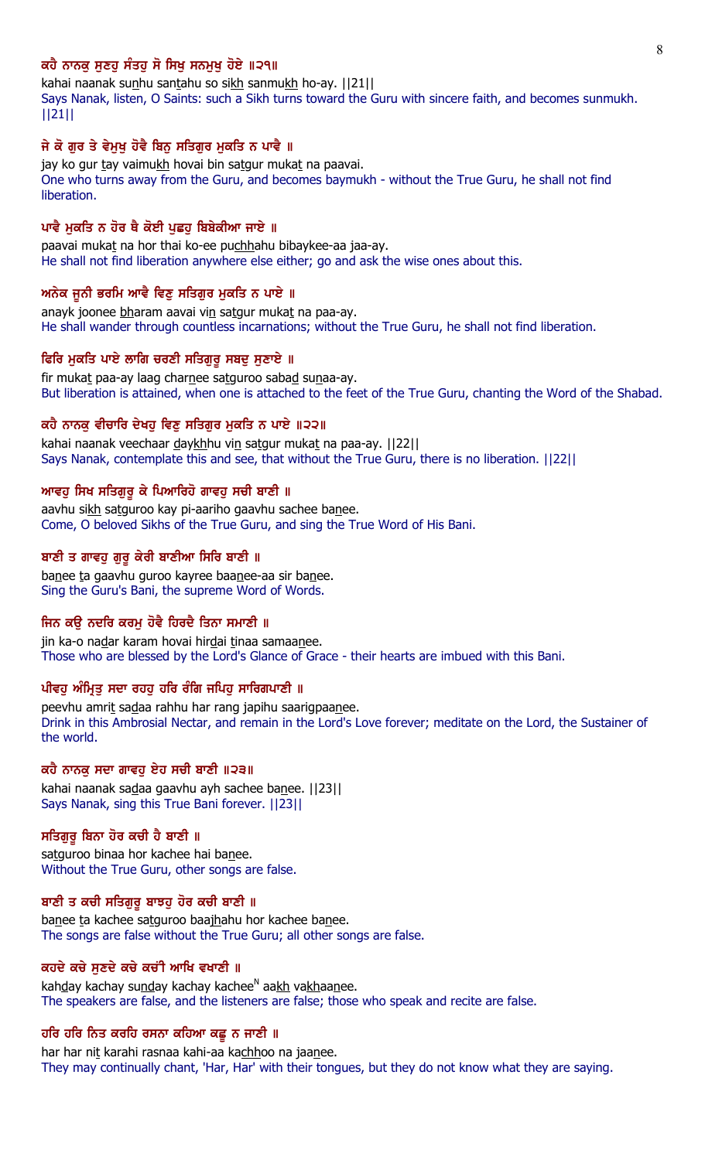## ਕਹੈ ਨਾਨਕ ਸਣਹ ਸੰਤਹ ਸੋ ਸਿਖ ਸਨਮਖ ਹੋਏ ॥੨੧॥

kahai naanak sunhu santahu so sikh sanmukh ho-ay. [[21]] Says Nanak, listen, O Saints: such a Sikh turns toward the Guru with sincere faith, and becomes sunmukh. ||21||

### ਜੇ ਕੋ ਗਰ ਤੇ ਵੇਮਖ ਹੋਵੈ ਬਿਨ ਸਤਿਗਰ ਮਕਤਿ ਨ ਪਾਵੈ ॥

jay ko gur tay vaimukh hovai bin satgur mukat na paavai. One who turns away from the Guru, and becomes baymukh - without the True Guru, he shall not find **liberation** 

### ਪਾਵੈ ਮੁਕਤਿ ਨ ਹੋਰ ਥੈ ਕੋਈ ਪੁਛਹੁ ਬਿਬੇਕੀਆ ਜਾਏ ॥

paavai mukat na hor thai ko-ee puchhahu bibaykee-aa jaa-ay. He shall not find liberation anywhere else either; go and ask the wise ones about this.

## ਅਨੇਕ ਜੂਨੀ ਭਰਮਿ ਆਵੈ ਵਿਣੁ ਸਤਿਗੁਰ ਮੁਕਤਿ ਨ ਪਾਏ ॥

anayk joonee bharam aavai vin satgur mukat na paa-ay. He shall wander through countless incarnations; without the True Guru, he shall not find liberation.

### ਫਿਰਿ ਮੁਕਤਿ ਪਾਏ ਲਾਗਿ ਚਰਣੀ ਸਤਿਗੁਰੂ ਸਬਦੂ ਸੁਣਾਏ ॥

fir mukat paa-ay laag charnee satguroo sabad sunaa-ay. But liberation is attained, when one is attached to the feet of the True Guru, chanting the Word of the Shabad.

#### ਕਹੈ ਨਾਨਕ ਵੀਚਾਰਿ ਦੇਖਹ ਵਿਣ ਸਤਿਗਰ ਮਕਤਿ ਨ ਪਾਏ ॥੨੨॥

kahai naanak veechaar daykhhu vin satgur mukat na paa-ay. [[22]] Says Nanak, contemplate this and see, that without the True Guru, there is no liberation. ||22||

### ਆਵਹ ਸਿਖ ਸਤਿਗਰ ਕੇ ਪਿਆਰਿਹੋ ਗਾਵਹ ਸਚੀ ਬਾਣੀ ॥

aavhu sikh satguroo kay pi-aariho gaavhu sachee banee. Come, O beloved Sikhs of the True Guru, and sing the True Word of His Bani.

## ਬਾਣੀ ਤ ਗਾਵਹ ਗਰ ਕੇਰੀ ਬਾਣੀਆ ਸਿਰਿ ਬਾਣੀ ॥

banee ta gaavhu guroo kayree baanee-aa sir banee. Sing the Guru's Bani, the supreme Word of Words.

#### ਜਿਨ ਕੳ ਨਦਰਿ ਕਰਮ ਹੋਵੈ ਹਿਰਦੈ ਤਿਨਾ ਸਮਾਣੀ ॥

jin ka-o nadar karam hovai hirdai tinaa samaanee. Those who are blessed by the Lord's Glance of Grace - their hearts are imbued with this Bani.

## ਪੀਵਹੁ ਅੰਮ੍ਰਿਤੁ ਸਦਾ ਰਹਹੁ ਹਰਿ ਰੰਗਿ ਜਪਿਹੁ ਸਾਰਿਗਪਾਣੀ ॥

peevhu amrit sadaa rahhu har rang japihu saarigpaanee. Drink in this Ambrosial Nectar, and remain in the Lord's Love forever; meditate on the Lord, the Sustainer of the world.

## ਕਹੈ ਨਾਨਕੁ ਸਦਾ ਗਾਵਹੁ ਏਹ ਸਚੀ ਬਾਣੀ ॥੨੩॥

kahai naanak sadaa gaavhu ayh sachee banee. ||23|| Says Nanak, sing this True Bani forever. ||23||

## ਸਤਿਗੁਰੂ ਬਿਨਾ ਹੋਰ ਕਚੀ ਹੈ ਬਾਣੀ ॥

satguroo binaa hor kachee hai banee. Without the True Guru, other songs are false.

### ਬਾਣੀ ਤ ਕਚੀ ਸਤਿਗੁਰੂ ਬਾਝਹੂ ਹੋਰ ਕਚੀ ਬਾਣੀ ॥

banee ta kachee satguroo baajhahu hor kachee banee. The songs are false without the True Guru; all other songs are false.

#### ਕਹਦੇ ਕਚੇ ਸੁਣਦੇ ਕਚੇ ਕਚੀ ਆਖਿ ਵਖਾਣੀ ॥

kah<u>d</u>ay kachay su<u>nd</u>ay kachay kachee<sup>n</sup> aa<u>kh</u> va<u>kh</u>aa<u>n</u>ee. The speakers are false, and the listeners are false; those who speak and recite are false.

#### ਹਰਿ ਹਰਿ ਨਿਤ ਕਰਹਿ ਰਸਨਾ ਕਹਿਆ ਕਛੁ ਨ ਜਾਣੀ ॥

har har nit karahi rasnaa kahi-aa kachhoo na jaanee. They may continually chant, 'Har, Har' with their tongues, but they do not know what they are saying.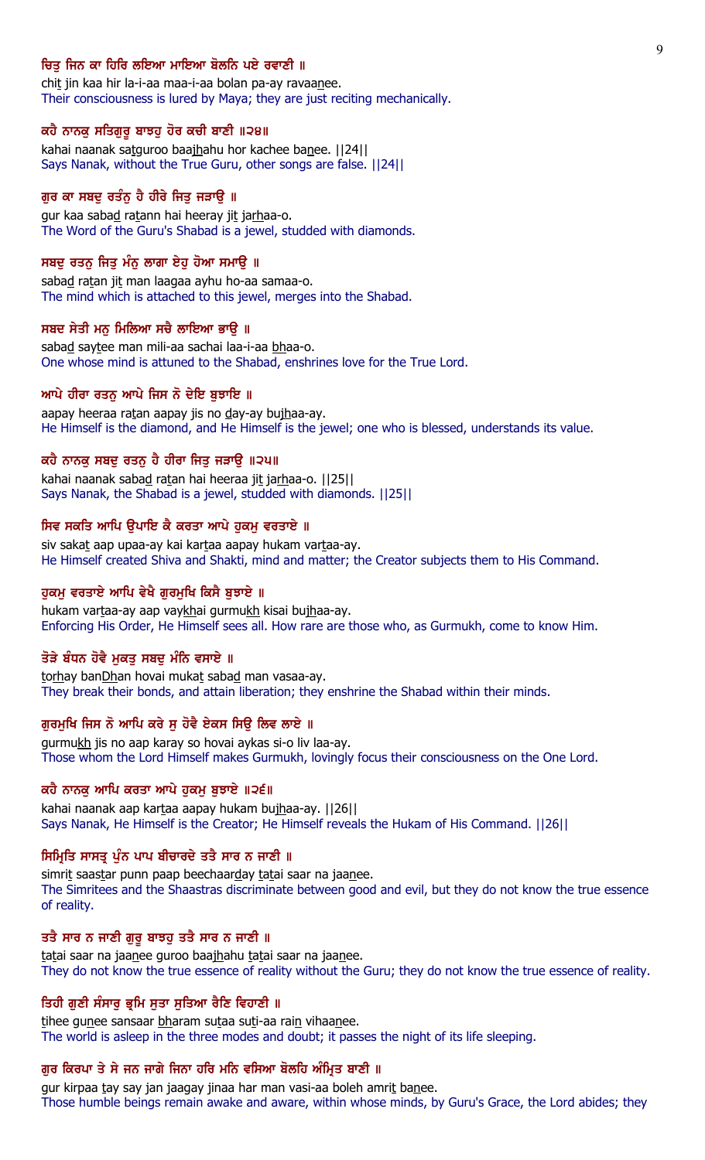## ਚਿਤ ਜਿਨ ਕਾ ਹਿਰਿ ਲਇਆ ਮਾਇਆ ਬੋਲਨਿ ਪਏ ਰਵਾਣੀ ॥

chit jin kaa hir la-i-aa maa-i-aa bolan pa-ay ravaanee. Their consciousness is lured by Maya; they are just reciting mechanically.

#### ਕਹੈ ਨਾਨਕੂ ਸਤਿਗੁਰੂ ਬਾਝਹੂ ਹੋਰ ਕਚੀ ਬਾਣੀ ॥੨੪॥

kahai naanak satguroo baajhahu hor kachee banee. ||24|| Says Nanak, without the True Guru, other songs are false. ||24||

## ਗੁਰ ਕਾ ਸਬਦੂ ਰਤੰਨੂ ਹੈ ਹੀਰੇ ਜਿਤੂ ਜੜਾਉ ॥

gur kaa sabad ratann hai heeray jit jarhaa-o. The Word of the Guru's Shabad is a jewel, studded with diamonds.

### ਸਬਦੂ ਰਤਨੂ ਜਿਤੂ ਮੰਨੂ ਲਾਗਾ ਏਹੂ ਹੋਆ ਸਮਾਊ ॥

sabad ratan jit man laagaa ayhu ho-aa samaa-o. The mind which is attached to this jewel, merges into the Shabad.

#### ਸਬਦ ਸੇਤੀ ਮਨੂ ਮਿਲਿਆ ਸਚੈ ਲਾਇਆ ਭਾਉ ॥

sabad saytee man mili-aa sachai laa-i-aa bhaa-o. One whose mind is attuned to the Shabad, enshrines love for the True Lord.

#### ਆਪੇ ਹੀਰਾ ਰਤਨ ਆਪੇ ਜਿਸ ਨੋ ਦੇਇ ਬੁਝਾਇ ॥

aapay heeraa ratan aapay jis no day-ay bujhaa-ay. He Himself is the diamond, and He Himself is the jewel; one who is blessed, understands its value.

## ਕਹੇ ਨਾਨਕੁ ਸਬਦੁ ਰਤਨੁ ਹੈ ਹੀਰਾ ਜਿਤੁ ਜੜਾਉ ॥੨੫॥

kahai naanak sabad ratan hai heeraa jit jarhaa-o. ||25|| Says Nanak, the Shabad is a jewel, studded with diamonds. ||25||

### ਸਿਵ ਸਕਤਿ ਆਪਿ ਉਪਾਇ ਕੈ ਕਰਤਾ ਆਪੇ ਹੁਕਮੂ ਵਰਤਾਏ ॥

siv sakat aap upaa-ay kai kartaa aapay hukam vartaa-ay. He Himself created Shiva and Shakti, mind and matter; the Creator subjects them to His Command.

### ਹੁਕਮੂ ਵਰਤਾਏ ਆਪਿ ਵੇਖੈ ਗੁਰਮੁਖਿ ਕਿਸੈ ਬੁਝਾਏ ॥

hukam vartaa-ay aap vaykhai gurmukh kisai bujhaa-ay. Enforcing His Order, He Himself sees all. How rare are those who, as Gurmukh, come to know Him.

## ਤੋੜੇ ਬੰਧਨ ਹੋਵੈ ਮੁਕਤੂ ਸਬਦੂ ਮੰਨਿ ਵਸਾਏ ॥

torhay banDhan hovai mukat sabad man vasaa-ay. They break their bonds, and attain liberation; they enshrine the Shabad within their minds.

### ਗੁਰਮੁਖਿ ਜਿਸ ਨੋ ਆਪਿ ਕਰੇ ਸੁ ਹੋਵੈ ਏਕਸ ਸਿਉ ਲਿਵ ਲਾਏ ॥

gurmukh jis no aap karay so hovai aykas si-o liv laa-ay. Those whom the Lord Himself makes Gurmukh, lovingly focus their consciousness on the One Lord.

#### ਕਹੈ ਨਾਨਕੁ ਆਪਿ ਕਰਤਾ ਆਪੇ ਹੁਕਮੁ ਬੁਝਾਏ ॥੨੬॥

kahai naanak aap kartaa aapay hukam bujhaa-ay. ||26|| Says Nanak, He Himself is the Creator; He Himself reveals the Hukam of His Command. ||26||

## ਸਿਮ੍ਰਿਤਿ ਸਾਸਤ੍ਰ ਪੁੰਨ ਪਾਪ ਬੀਚਾਰਦੇ ਤਤੈ ਸਾਰ ਨ ਜਾਣੀ ॥

simrit saastar punn paap beechaarday tatai saar na jaanee. The Simritees and the Shaastras discriminate between good and evil, but they do not know the true essence of reality.

## ਤਤੈ ਸਾਰ ਨ ਜਾਣੀ ਗੁਰੂ ਬਾਝਹੂ ਤਤੈ ਸਾਰ ਨ ਜਾਣੀ ॥

tatai saar na jaanee guroo baajhahu tatai saar na jaanee. They do not know the true essence of reality without the Guru; they do not know the true essence of reality.

### ਤਿਹੀ ਗੁਣੀ ਸੰਸਾਰੂ ਭ੍ਰਮਿ ਸੂਤਾ ਸੁਤਿਆ ਰੈਣਿ ਵਿਹਾਣੀ ॥

tihee gunee sansaar bharam sutaa suti-aa rain vihaanee. The world is asleep in the three modes and doubt; it passes the night of its life sleeping.

#### ਗੁਰ ਕਿਰਪਾ ਤੇ ਸੇ ਜਨ ਜਾਗੇ ਜਿਨਾ ਹਰਿ ਮਨਿ ਵਸਿਆ ਬੋਲਹਿ ਅੰਮ੍ਰਿਤ ਬਾਣੀ ॥

gur kirpaa tay say jan jaagay jinaa har man vasi-aa boleh amrit banee. Those humble beings remain awake and aware, within whose minds, by Guru's Grace, the Lord abides; they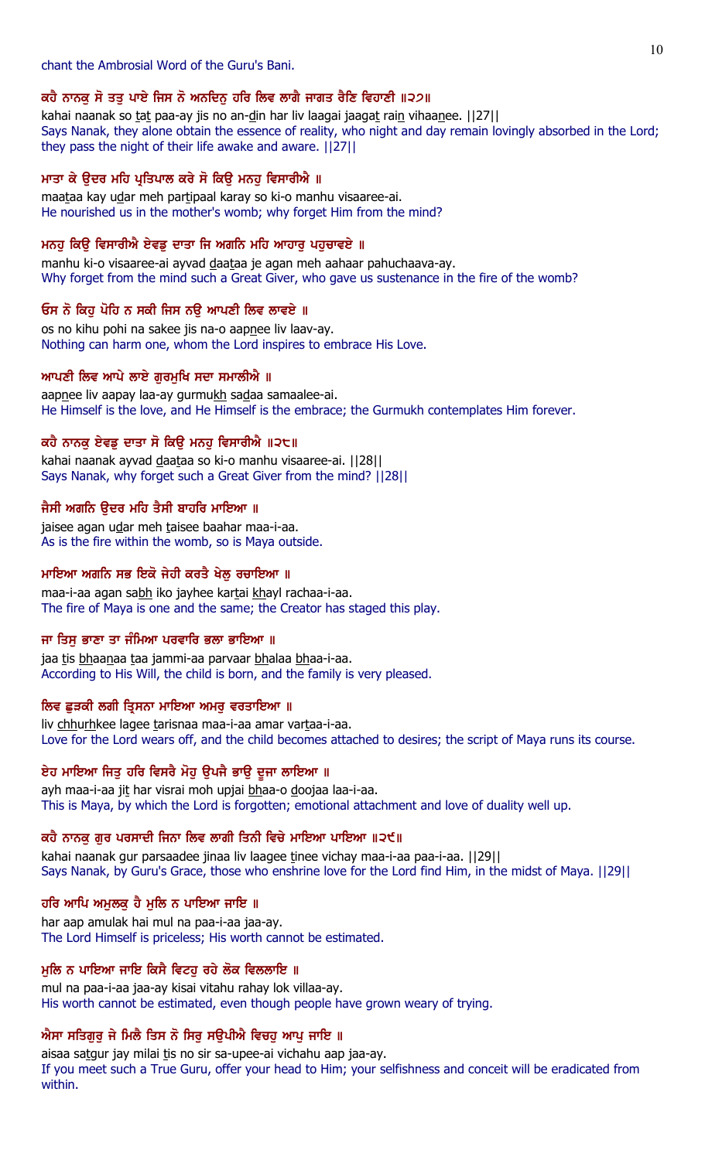## chant the Ambrosial Word of the Guru's Bani.

## ਕਹੈ ਨਾਨਕੂ ਸੋ ਤਤੂ ਪਾਏ ਜਿਸ ਨੋ ਅਨਦਿਨੂ ਹਰਿ ਲਿਵ ਲਾਗੈ ਜਾਗਤ ਰੈਣਿ ਵਿਹਾਣੀ ॥੨੭॥

kahai naanak so tat paa-ay jis no an-din har liv laagai jaagat rain vihaanee. [[27]] Says Nanak, they alone obtain the essence of reality, who night and day remain lovingly absorbed in the Lord; they pass the night of their life awake and aware. ||27||

## ਮਾਤਾ ਕੇ ਉਦਰ ਮਹਿ ਪ੍ਰਤਿਪਾਲ ਕਰੇ ਸੋ ਕਿਉ ਮਨਹੂ ਵਿਸਾਰੀਐ ॥

maataa kay udar meh partipaal karay so ki-o manhu visaaree-ai. He nourished us in the mother's womb; why forget Him from the mind?

## ਮਨਹੂ ਕਿਉ ਵਿਸਾਰੀਐ ਏਵਡੂ ਦਾਤਾ ਜਿ ਅਗਨਿ ਮਹਿ ਆਹਾਰੂ ਪਹੁਚਾਵਏ ॥

manhu ki-o visaaree-ai ayvad daataa je agan meh aahaar pahuchaava-ay. Why forget from the mind such a Great Giver, who gave us sustenance in the fire of the womb?

## ਓਸ ਨੋ ਕਿਹ ਪੋਹਿ ਨ ਸਕੀ ਜਿਸ ਨੳ ਆਪਣੀ ਲਿਵ ਲਾਵਏ ॥

os no kihu pohi na sakee jis na-o aapnee liv laav-ay. Nothing can harm one, whom the Lord inspires to embrace His Love.

## ਆਪਣੀ ਲਿਵ ਆਪੇ ਲਾਏ ਗੁਰਮੁਖਿ ਸਦਾ ਸਮਾਲੀਐ ॥

aapnee liv aapay laa-ay gurmukh sadaa samaalee-ai. He Himself is the love, and He Himself is the embrace; the Gurmukh contemplates Him forever.

## ਕਹੈ ਨਾਨਕੂ ਏਵਡੂ ਦਾਤਾ ਸੋ ਕਿਉ ਮਨਹੂ ਵਿਸਾਰੀਐ ॥੨੮॥

kahai naanak ayvad daataa so ki-o manhu visaaree-ai. ||28|| Says Nanak, why forget such a Great Giver from the mind? ||28||

## ਜੈਸੀ ਅਗਨਿ ੳਦਰ ਮਹਿ ਤੈਸੀ ਬਾਹਰਿ ਮਾਇਆ ॥

jaisee agan udar meh taisee baahar maa-i-aa. As is the fire within the womb, so is Maya outside.

## ਮਾਇਆ ਅਗਨਿ ਸਭ ਇਕੋ ਜੇਹੀ ਕਰਤੈ ਖੇਲ ਰਚਾਇਆ ॥

maa-i-aa agan sabh iko jayhee kartai khayl rachaa-i-aa. The fire of Maya is one and the same; the Creator has staged this play.

## ਜਾ ਤਿਸੁ ਭਾਣਾ ਤਾ ਜੰਮਿਆ ਪਰਵਾਰਿ ਭਲਾ ਭਾਇਆ ॥

jaa tis bhaanaa taa jammi-aa parvaar bhalaa bhaa-i-aa. According to His Will, the child is born, and the family is very pleased.

## ਲਿਵ ਛੁੜਕੀ ਲਗੀ ਤ੍ਰਿਸਨਾ ਮਾਇਆ ਅਮਰ ਵਰਤਾਇਆ ॥

liv chhurhkee lagee tarisnaa maa-i-aa amar vartaa-i-aa. Love for the Lord wears off, and the child becomes attached to desires; the script of Maya runs its course.

## ਏਹ ਮਾਇਆ ਜਿਤੂ ਹਰਿ ਵਿਸਰੈ ਮੋਹੂ ਉਪਜੈ ਭਾਉ ਦੂਜਾ ਲਾਇਆ ॥

ayh maa-i-aa jit har visrai moh upjai bhaa-o doojaa laa-i-aa. This is Maya, by which the Lord is forgotten; emotional attachment and love of duality well up.

## ਕਹੈ ਨਾਨਕ ਗਰ ਪਰਸਾਦੀ ਜਿਨਾ ਲਿਵ ਲਾਗੀ ਤਿਨੀ ਵਿਚੇ ਮਾਇਆ ਪਾਇਆ ॥੨੯॥

kahai naanak gur parsaadee jinaa liv laagee tinee vichay maa-i-aa paa-i-aa. [[29]] Says Nanak, by Guru's Grace, those who enshrine love for the Lord find Him, in the midst of Maya. ||29||

## ਹਰਿ ਆਪਿ ਅਮੁਲਕੁ ਹੈ ਮੁਲਿ ਨ ਪਾਇਆ ਜਾਇ ॥

har aap amulak hai mul na paa-i-aa jaa-ay. The Lord Himself is priceless; His worth cannot be estimated.

## ਮੂਲਿ ਨ ਪਾਇਆ ਜਾਇ ਕਿਸੈ ਵਿਟਹੂ ਰਹੇ ਲੋਕ ਵਿਲਲਾਇ ॥

mul na paa-i-aa jaa-ay kisai vitahu rahay lok villaa-ay. His worth cannot be estimated, even though people have grown weary of trying.

## ਐਸਾ ਸਤਿਗੁਰੂ ਜੇ ਮਿਲੈ ਤਿਸ ਨੋ ਸਿਰੂ ਸਉਪੀਐ ਵਿਚਹੂ ਆਪੂ ਜਾਇ ॥

aisaa satgur jay milai tis no sir sa-upee-ai vichahu aap jaa-ay. If you meet such a True Guru, offer your head to Him; your selfishness and conceit will be eradicated from within.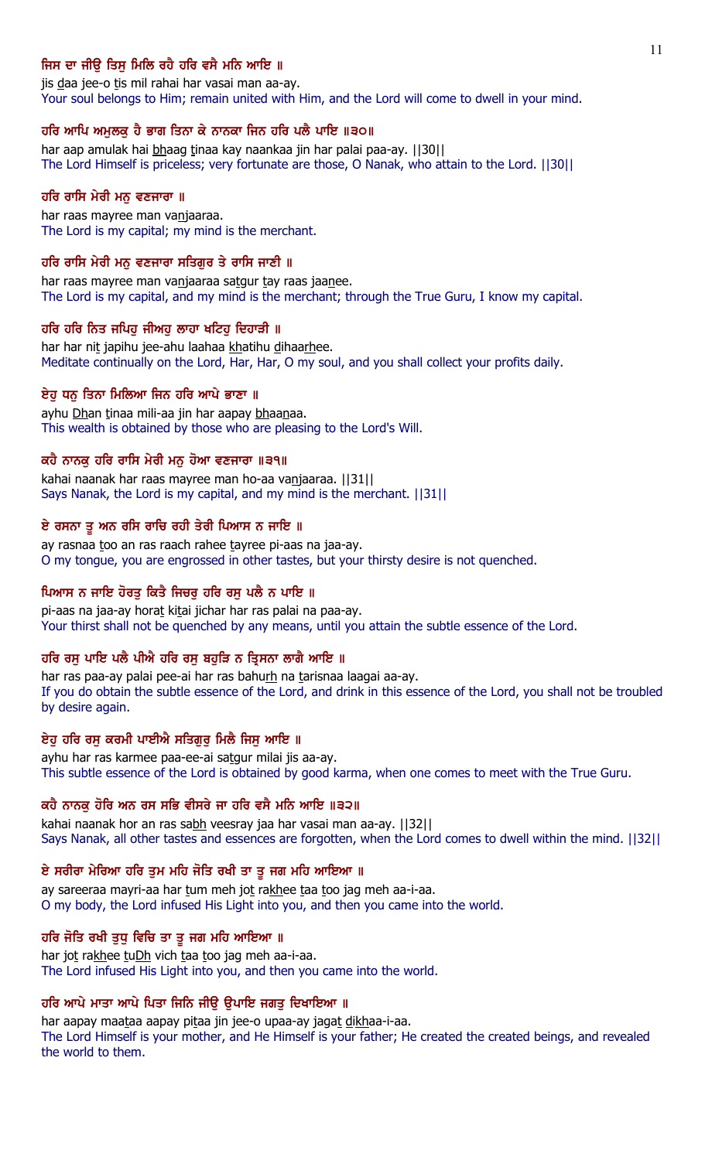## ਜਿਸ ਦਾ ਜੀੳ ਤਿਸ ਮਿਲਿ ਰਹੈ ਹਰਿ ਵਸੈ ਮਨਿ ਆਇ ॥

jis daa jee-o tis mil rahai har vasai man aa-ay. Your soul belongs to Him; remain united with Him, and the Lord will come to dwell in your mind.

## ਹਰਿ ਆਪਿ ਅਮੁਲਕੁ ਹੈ ਭਾਗ ਤਿਨਾ ਕੇ ਨਾਨਕਾ ਜਿਨ ਹਰਿ ਪਲੈ ਪਾਇ ॥੩੦॥

har aap amulak hai bhaag tinaa kay naankaa jin har palai paa-ay. [[30]] The Lord Himself is priceless; very fortunate are those, O Nanak, who attain to the Lord. ||30||

### ਹਰਿ ਰਾਸਿ ਮੇਰੀ ਮਨੁ ਵਣਜਾਰਾ ॥

har raas mayree man vanjaaraa. The Lord is my capital; my mind is the merchant.

#### ਹਰਿ ਰਾਸਿ ਮੇਰੀ ਮਨ ਵਣਜਾਰਾ ਸਤਿਗਰ ਤੇ ਰਾਸਿ ਜਾਣੀ ॥

har raas mayree man vanjaaraa satgur tay raas jaanee. The Lord is my capital, and my mind is the merchant; through the True Guru, I know my capital.

#### ਹਰਿ ਹਰਿ ਨਿਤ ਜਪਿਹ ਜੀਅਹ ਲਾਹਾ ਖਟਿਹ ਦਿਹਾੜੀ ॥

har har nit japihu jee-ahu laahaa khatihu dihaarhee. Meditate continually on the Lord, Har, Har, O my soul, and you shall collect your profits daily.

### ਏਹੁ ਧਨੁ ਤਿਨਾ ਮਿਲਿਆ ਜਿਨ ਹਰਿ ਆਪੇ ਭਾਣਾ ॥

ayhu Dhan tinaa mili-aa jin har aapay bhaanaa. This wealth is obtained by those who are pleasing to the Lord's Will.

### ਕਹੈ ਨਾਨਕ ਹਰਿ ਰਾਸਿ ਮੇਰੀ ਮਨ ਹੋਆ ਵਣਜਾਰਾ ॥੩੧॥

kahai naanak har raas mayree man ho-aa vanjaaraa. ||31|| Says Nanak, the Lord is my capital, and my mind is the merchant. ||31||

### ਏ ਰਸਨਾ ਤੂ ਅਨ ਰਸਿ ਰਾਚਿ ਰਹੀ ਤੇਰੀ ਪਿਆਸ ਨ ਜਾਇ ॥

ay rasnaa too an ras raach rahee tayree pi-aas na jaa-ay. O my tongue, you are engrossed in other tastes, but your thirsty desire is not quenched.

### ਪਿਆਸ ਨ ਜਾਇ ਹੋਰਤੂ ਕਿਤੈ ਜਿਚਰੂ ਹਰਿ ਰਸੂ ਪਲੈ ਨ ਪਾਇ ॥

pi-aas na jaa-ay horat kitai jichar har ras palai na paa-ay. Your thirst shall not be quenched by any means, until you attain the subtle essence of the Lord.

## ਹਰਿ ਰਸ ਪਾਇ ਪਲੈ ਪੀਐ ਹਰਿ ਰਸ ਬਹੜਿ ਨ ਤ੍ਰਿਸਨਾ ਲਾਗੈ ਆਇ ॥

har ras paa-ay palai pee-ai har ras bahurh na tarisnaa laagai aa-ay. If you do obtain the subtle essence of the Lord, and drink in this essence of the Lord, you shall not be troubled by desire again.

## ਏਹੂ ਹਰਿ ਰਸੂ ਕਰਮੀ ਪਾਈਐ ਸਤਿਗੁਰੂ ਮਿਲੈ ਜਿਸੂ ਆਇ ॥

ayhu har ras karmee paa-ee-ai satgur milai jis aa-ay. This subtle essence of the Lord is obtained by good karma, when one comes to meet with the True Guru.

#### ਕਹੈ ਨਾਨਕੂ ਹੋਰਿ ਅਨ ਰਸ ਸਭਿ ਵੀਸਰੇ ਜਾ ਹਰਿ ਵਸੈ ਮਨਿ ਆਇ ॥੩੨॥

kahai naanak hor an ras sabh veesray jaa har vasai man aa-ay. [[32]] Says Nanak, all other tastes and essences are forgotten, when the Lord comes to dwell within the mind. ||32||

### ਏ ਸਰੀਰਾ ਮੇਰਿਆ ਹਰਿ ਤੁਮ ਮਹਿ ਜੋਤਿ ਰਖੀ ਤਾ ਤੁ ਜਗ ਮਹਿ ਆਇਆ ॥

ay sareeraa mayri-aa har tum meh jot rakhee taa too jag meh aa-i-aa. O my body, the Lord infused His Light into you, and then you came into the world.

### ਹਰਿ ਜੋਤਿ ਰਖੀ ਤੁਧੂ ਵਿਚਿ ਤਾ ਤੁ ਜਗ ਮਹਿ ਆਇਆ ॥

har jot rakhee tuDh vich taa too jag meh aa-i-aa. The Lord infused His Light into you, and then you came into the world.

## ਹਰਿ ਆਪੇ ਮਾਤਾ ਆਪੇ ਪਿਤਾ ਜਿਨਿ ਜੀਉ ਉਪਾਇ ਜਗਤੁ ਦਿਖਾਇਆ ॥

har aapay maataa aapay pitaa jin jee-o upaa-ay jagat dikhaa-i-aa. The Lord Himself is your mother, and He Himself is your father; He created the created beings, and revealed the world to them.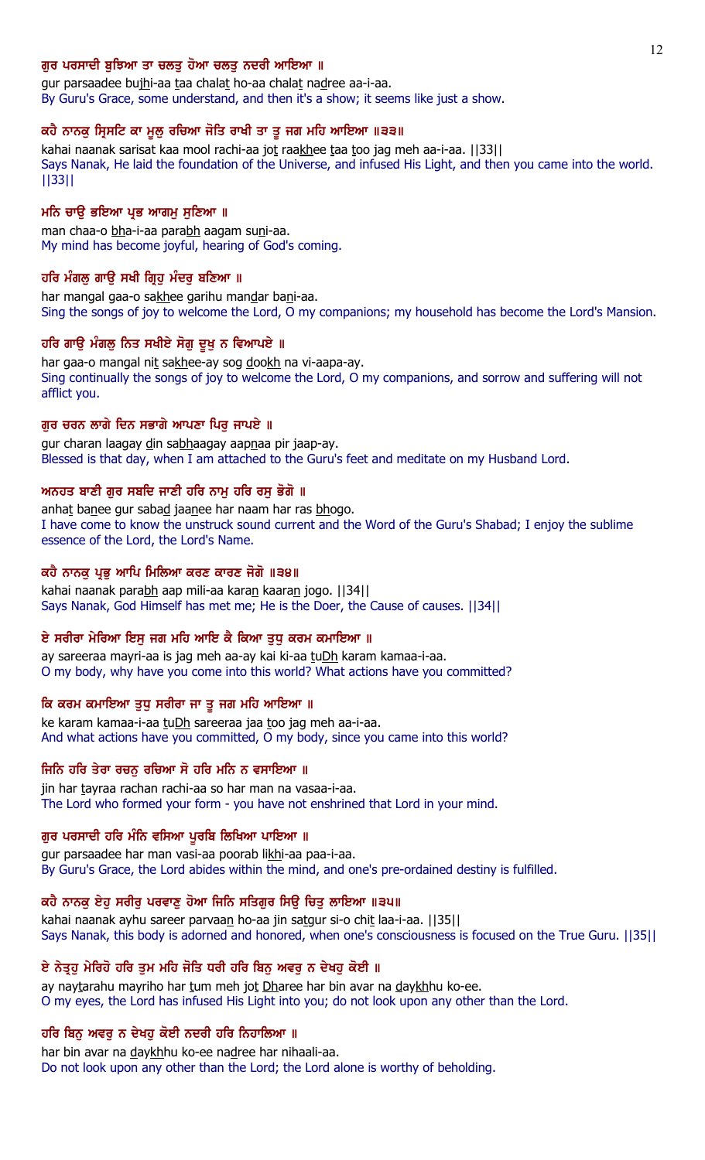### ਗਰ ਪਰਸਾਦੀ ਬਝਿਆ ਤਾ ਚਲਤ ਹੋਆ ਚਲਤ ਨਦਰੀ ਆਇਆ ॥

gur parsaadee bujhi-aa taa chalat ho-aa chalat nadree aa-i-aa. By Guru's Grace, some understand, and then it's a show; it seems like just a show.

#### ਕਹੈ ਨਾਨਕੁ ਸ੍ਰਿਸਟਿ ਕਾ ਮੁਲੁ ਰਚਿਆ ਜੋਤਿ ਰਾਖੀ ਤਾ ਤੁ ਜਗ ਮਹਿ ਆਇਆ ॥੩੩॥

kahai naanak sarisat kaa mool rachi-aa jot raakhee taa too jag meh aa-i-aa. [[33]] Says Nanak, He laid the foundation of the Universe, and infused His Light, and then you came into the world. ||33||

### ਮਨਿ ਚਾਉ ਭਇਆ ਪ੍ਰਭ ਆਗਮ ਸੁਣਿਆ ॥

man chaa-o bha-i-aa parabh aagam suni-aa. My mind has become joyful, hearing of God's coming.

### ਹਰਿ ਮੰਗਲੂ ਗਾਉ ਸਖੀ ਗ੍ਰਿਹੂ ਮੰਦਰੂ ਬਣਿਆ ॥

har mangal gaa-o sakhee garihu mandar bani-aa. Sing the songs of joy to welcome the Lord, O my companions; my household has become the Lord's Mansion.

#### ਹਰਿ ਗਾਉ ਮੰਗਲੂ ਨਿਤ ਸਖੀਏ ਸੋਗੂ ਦੁਖੂ ਨ ਵਿਆਪਏ ॥

har gaa-o mangal nit sakhee-ay sog dookh na vi-aapa-ay. Sing continually the songs of joy to welcome the Lord, O my companions, and sorrow and suffering will not afflict you.

### ਗਰ ਚਰਨ ਲਾਗੇ ਦਿਨ ਸਭਾਗੇ ਆਪਣਾ ਪਿਰ ਜਾਪਏ ॥

gur charan laagay din sabhaagay aapnaa pir jaap-ay. Blessed is that day, when I am attached to the Guru's feet and meditate on my Husband Lord.

### ਅਨਹਤ ਬਾਣੀ ਗੁਰ ਸਬਦਿ ਜਾਣੀ ਹਰਿ ਨਾਮੂ ਹਰਿ ਰਸੂ ਭੋਗੋ ॥

anhat banee gur sabad jaanee har naam har ras bhogo. I have come to know the unstruck sound current and the Word of the Guru's Shabad; I enjoy the sublime essence of the Lord, the Lord's Name.

#### ਕਹੈ ਨਾਨਕੂ ਪ੍ਰਭੂ ਆਪਿ ਮਿਲਿਆ ਕਰਣ ਕਾਰਣ ਜੋਗੋ ॥੩੪॥

kahai naanak parabh aap mili-aa karan kaaran jogo. [[34]] Says Nanak, God Himself has met me; He is the Doer, the Cause of causes. ||34||

### ਏ ਸਰੀਰਾ ਮੇਰਿਆ ਇਸੂ ਜਗ ਮਹਿ ਆਇ ਕੈ ਕਿਆ ਤੁਧੂ ਕਰਮ ਕਮਾਇਆ ॥

ay sareeraa mayri-aa is jag meh aa-ay kai ki-aa tuDh karam kamaa-i-aa. O my body, why have you come into this world? What actions have you committed?

## ਕਿ ਕਰਮ ਕਮਾਇਆ ਤੁਧੁ ਸਰੀਰਾ ਜਾ ਤੁ ਜਗ ਮਹਿ ਆਇਆ ॥

ke karam kamaa-i-aa tuDh sareeraa jaa too jag meh aa-i-aa. And what actions have you committed, O my body, since you came into this world?

#### ਜਿਨਿ ਹਰਿ ਤੇਰਾ ਰਚਨੁ ਰਚਿਆ ਸੋ ਹਰਿ ਮਨਿ ਨ ਵਸਾਇਆ ॥

jin har tayraa rachan rachi-aa so har man na vasaa-i-aa. The Lord who formed your form - you have not enshrined that Lord in your mind.

#### ਗੁਰ ਪਰਸਾਦੀ ਹਰਿ ਮੰਨਿ ਵਸਿਆ ਪੁਰਬਿ ਲਿਖਿਆ ਪਾਇਆ ॥

gur parsaadee har man vasi-aa poorab likhi-aa paa-i-aa. By Guru's Grace, the Lord abides within the mind, and one's pre-ordained destiny is fulfilled.

## ਕਹੈ ਨਾਨਕੂ ਏਹੂ ਸਰੀਰੂ ਪਰਵਾਣੂ ਹੋਆ ਜਿਨਿ ਸਤਿਗੁਰ ਸਿਊ ਚਿਤੂ ਲਾਇਆ ॥੩੫॥

kahai naanak ayhu sareer parvaan ho-aa jin satgur si-o chit laa-i-aa. | 35 | | Says Nanak, this body is adorned and honored, when one's consciousness is focused on the True Guru. ||35||

## ਏ ਨੇਤੁਹੂ ਮੇਰਿਹੋ ਹਰਿ ਤੁਮ ਮਹਿ ਜੋਤਿ ਧਰੀ ਹਰਿ ਬਿਨ੍ਹ ਅਵਰੂ ਨ ਦੇਖਹੂ ਕੋਈ ॥

ay naytarahu mayriho har tum meh jot Dharee har bin avar na daykhhu ko-ee. O my eyes, the Lord has infused His Light into you; do not look upon any other than the Lord.

### ਹਰਿ ਬਿਨੁ ਅਵਰੁ ਨ ਦੇਖਹੁ ਕੋਈ ਨਦਰੀ ਹਰਿ ਨਿਹਾਲਿਆ ॥

har bin avar na daykhhu ko-ee nadree har nihaali-aa. Do not look upon any other than the Lord; the Lord alone is worthy of beholding.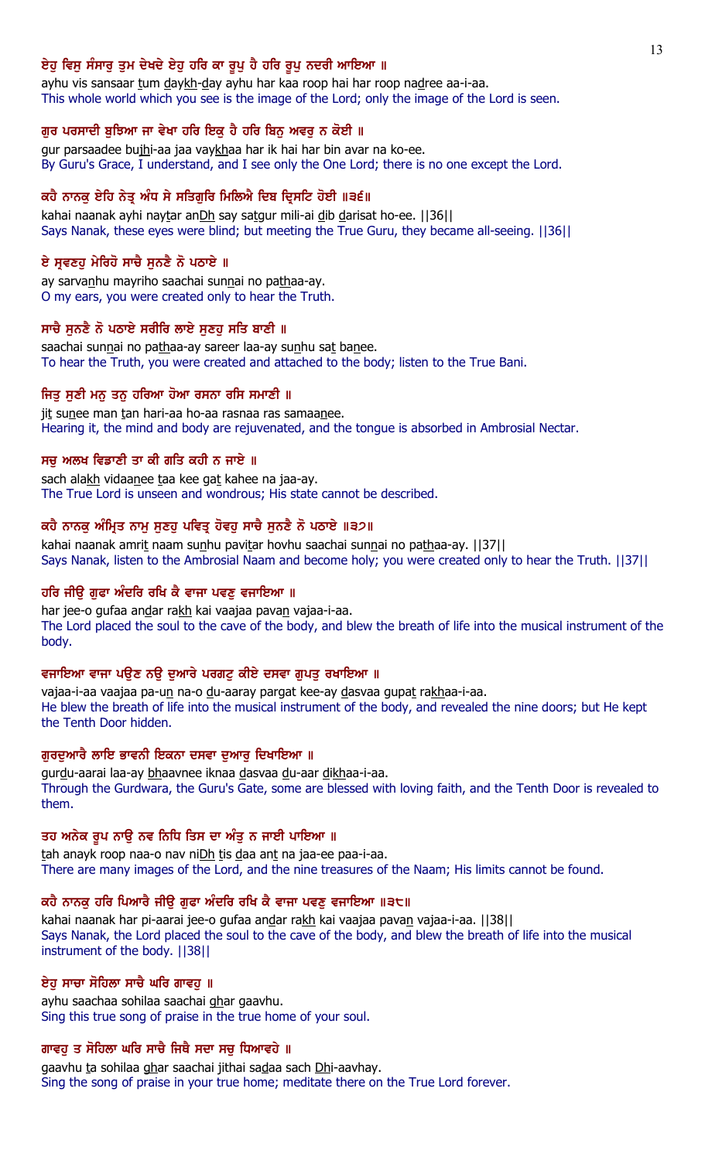## ਏਹੁ ਵਿਸੁ ਸੰਸਾਰੁ ਤੁਮ ਦੇਖਦੇ ਏਹੁ ਹਰਿ ਕਾ ਰੁਪੁ ਹੈ ਹਰਿ ਰੁਪੁ ਨਦਰੀ ਆਇਆ ॥

ayhu vis sansaar tum daykh-day ayhu har kaa roop hai har roop nadree aa-i-aa. This whole world which you see is the image of the Lord; only the image of the Lord is seen.

## ਗੁਰ ਪਰਸਾਦੀ ਬੁਝਿਆ ਜਾ ਵੇਖਾ ਹਰਿ ਇਕ ਹੈ ਹਰਿ ਬਿਨ੍ਹ ਅਵਰੂ ਨ ਕੋਈ ॥

gur parsaadee bujhi-aa jaa vaykhaa har ik hai har bin avar na ko-ee. By Guru's Grace, I understand, and I see only the One Lord; there is no one except the Lord.

## ਕਹੈ ਨਾਨਕੂ ਏਹਿ ਨੇਤ੍ਰ ਅੰਧ ਸੇ ਸਤਿਗੁਰਿ ਮਿਲਿਐ ਦਿਬ ਦ੍ਰਿਸਟਿ ਹੋਈ ॥੩੬॥

kahai naanak ayhi naytar anDh say satgur mili-ai dib darisat ho-ee. [[36]] Says Nanak, these eyes were blind; but meeting the True Guru, they became all-seeing. ||36||

## ਏ ਸੁਵਣਹੁ ਮੇਰਿਹੋ ਸਾਚੈ ਸੁਨਣੈ ਨੋ ਪਠਾਏ ॥

ay sarvanhu mayriho saachai sunnai no pathaa-ay. O my ears, you were created only to hear the Truth.

## ਸਾਚੈ ਸਨਣੈ ਨੋ ਪਠਾਏ ਸਰੀਰਿ ਲਾਏ ਸਣਹ ਸਤਿ ਬਾਣੀ ॥

saachai sunnai no pathaa-ay sareer laa-ay sunhu sat banee. To hear the Truth, you were created and attached to the body; listen to the True Bani.

## ਜਿਤੂ ਸੁਣੀ ਮਨੂ ਤਨੂ ਹਰਿਆ ਹੋਆ ਰਸਨਾ ਰਸਿ ਸਮਾਣੀ ॥

jit sunee man tan hari-aa ho-aa rasnaa ras samaanee. Hearing it, the mind and body are rejuvenated, and the tongue is absorbed in Ambrosial Nectar.

## ਸਚ ਅਲਖ ਵਿਡਾਣੀ ਤਾ ਕੀ ਗਤਿ ਕਹੀ ਨ ਜਾਏ ॥

sach alakh vidaanee taa kee gat kahee na jaa-ay. The True Lord is unseen and wondrous; His state cannot be described.

## ਕਹੈ ਨਾਨਕੂ ਅੰਮ੍ਰਿਤ ਨਾਮੂ ਸੁਣਹੁ ਪਵਿਤ੍ਰ ਹੋਵਹੂ ਸਾਚੈ ਸੁਨਣੈ ਨੋ ਪਠਾਏ ॥੩੭॥

kahai naanak amrit naam sunhu pavitar hovhu saachai sunnai no pathaa-ay. [[37]] Says Nanak, listen to the Ambrosial Naam and become holy; you were created only to hear the Truth. ||37||

## ਹਰਿ ਜੀਉ ਗੁਫਾ ਅੰਦਰਿ ਰਖਿ ਕੈ ਵਾਜਾ ਪਵਣੂ ਵਜਾਇਆ ॥

har jee-o gufaa andar rakh kai vaajaa pavan vajaa-i-aa. The Lord placed the soul to the cave of the body, and blew the breath of life into the musical instrument of the body.

## ਵਜਾਇਆ ਵਾਜਾ ਪਉਣ ਨਉ ਦੁਆਰੇ ਪਰਗਟੁ ਕੀਏ ਦਸਵਾ ਗੁਪਤੁ ਰਖਾਇਆ ॥

vajaa-i-aa vaajaa pa-un na-o du-aaray pargat kee-ay dasvaa gupat rakhaa-i-aa. He blew the breath of life into the musical instrument of the body, and revealed the nine doors; but He kept the Tenth Door hidden.

## ਗੁਰਦੁਆਰੈ ਲਾਇ ਭਾਵਨੀ ਇਕਨਾ ਦਸਵਾ ਦੁਆਰੂ ਦਿਖਾਇਆ ॥

gurdu-aarai laa-ay bhaavnee iknaa dasvaa du-aar dikhaa-i-aa. Through the Gurdwara, the Guru's Gate, some are blessed with loving faith, and the Tenth Door is revealed to them.

## ਤਹ ਅਨੇਕ ਰੂਪ ਨਾਉ ਨਵ ਨਿਧਿ ਤਿਸ ਦਾ ਅੰਤੂ ਨ ਜਾਈ ਪਾਇਆ ॥

tah anayk roop naa-o nav niDh tis daa ant na jaa-ee paa-i-aa. There are many images of the Lord, and the nine treasures of the Naam; His limits cannot be found.

## ਕਹੈ ਨਾਨਕ ਹਰਿ ਪਿਆਰੈ ਜੀੳ ਗਫਾ ਅੰਦਰਿ ਰਖਿ ਕੈ ਵਾਜਾ ਪਵਣ ਵਜਾਇਆ ॥੩੮॥

kahai naanak har pi-aarai jee-o gufaa andar rakh kai vaajaa pavan vajaa-i-aa. [[38]] Says Nanak, the Lord placed the soul to the cave of the body, and blew the breath of life into the musical instrument of the body. ||38||

## ਏਹ ਸਾਚਾ ਸੋਹਿਲਾ ਸਾਚੈ ਘਰਿ ਗਾਵਹ ॥

ayhu saachaa sohilaa saachai ghar gaavhu. Sing this true song of praise in the true home of your soul.

## ਗਾਵਹੁ ਤ ਸੋਹਿਲਾ ਘਰਿ ਸਾਚੈ ਜਿਥੈ ਸਦਾ ਸਚੁ ਧਿਆਵਹੇ ॥

gaavhu ta sohilaa ghar saachai jithai sadaa sach Dhi-aavhay. Sing the song of praise in your true home; meditate there on the True Lord forever.